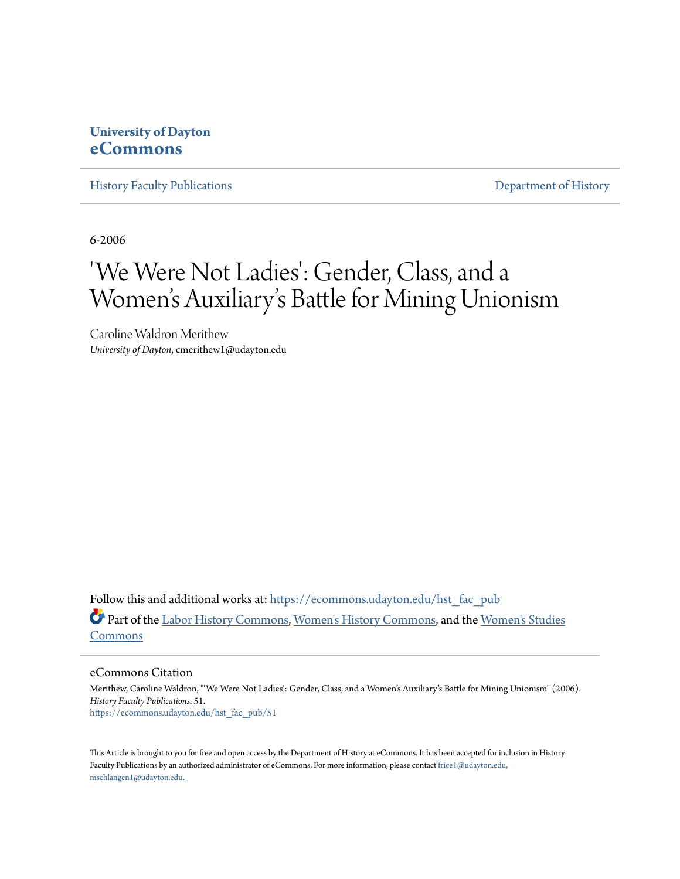## **University of Dayton [eCommons](https://ecommons.udayton.edu?utm_source=ecommons.udayton.edu%2Fhst_fac_pub%2F51&utm_medium=PDF&utm_campaign=PDFCoverPages)**

[History Faculty Publications](https://ecommons.udayton.edu/hst_fac_pub?utm_source=ecommons.udayton.edu%2Fhst_fac_pub%2F51&utm_medium=PDF&utm_campaign=PDFCoverPages) **[Department of History](https://ecommons.udayton.edu/hst?utm_source=ecommons.udayton.edu%2Fhst_fac_pub%2F51&utm_medium=PDF&utm_campaign=PDFCoverPages)** 

6-2006

# 'We Were Not Ladies': Gender, Class, and a Women 's Auxiliary 's Battle for Mining Unionism

Caroline Waldron Merithew *University of Dayton*, cmerithew1@udayton.edu

Follow this and additional works at: [https://ecommons.udayton.edu/hst\\_fac\\_pub](https://ecommons.udayton.edu/hst_fac_pub?utm_source=ecommons.udayton.edu%2Fhst_fac_pub%2F51&utm_medium=PDF&utm_campaign=PDFCoverPages) Part of the [Labor History Commons,](http://network.bepress.com/hgg/discipline/1254?utm_source=ecommons.udayton.edu%2Fhst_fac_pub%2F51&utm_medium=PDF&utm_campaign=PDFCoverPages) [Women's History Commons](http://network.bepress.com/hgg/discipline/507?utm_source=ecommons.udayton.edu%2Fhst_fac_pub%2F51&utm_medium=PDF&utm_campaign=PDFCoverPages), and the [Women's Studies](http://network.bepress.com/hgg/discipline/561?utm_source=ecommons.udayton.edu%2Fhst_fac_pub%2F51&utm_medium=PDF&utm_campaign=PDFCoverPages) [Commons](http://network.bepress.com/hgg/discipline/561?utm_source=ecommons.udayton.edu%2Fhst_fac_pub%2F51&utm_medium=PDF&utm_campaign=PDFCoverPages)

eCommons Citation

Merithew, Caroline Waldron, "'We Were Not Ladies': Gender, Class, and a Women's Auxiliary's Battle for Mining Unionism" (2006). *History Faculty Publications*. 51. [https://ecommons.udayton.edu/hst\\_fac\\_pub/51](https://ecommons.udayton.edu/hst_fac_pub/51?utm_source=ecommons.udayton.edu%2Fhst_fac_pub%2F51&utm_medium=PDF&utm_campaign=PDFCoverPages)

This Article is brought to you for free and open access by the Department of History at eCommons. It has been accepted for inclusion in History Faculty Publications by an authorized administrator of eCommons. For more information, please contact [frice1@udayton.edu,](mailto:frice1@udayton.edu,%20mschlangen1@udayton.edu) [mschlangen1@udayton.edu.](mailto:frice1@udayton.edu,%20mschlangen1@udayton.edu)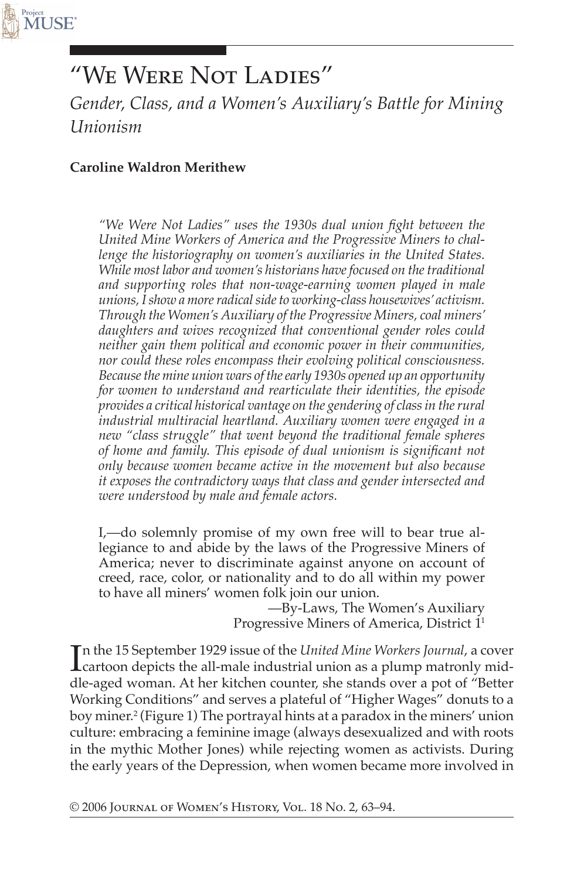

## 2006 "We Were Not Ladies"

*Gender, Class, and a Women's Auxiliary's Battle for Mining Unionism*

## **Caroline Waldron Merithew**

*"We Were Not Ladies" uses the 1930s dual union fight between the United Mine Workers of America and the Progressive Miners to challenge the historiography on women's auxiliaries in the United States. While most labor and women's historians have focused on the traditional and supporting roles that non-wage-earning women played in male unions, I show a more radical side to working-class housewives' activism. Through the Women's Auxiliary of the Progressive Miners, coal miners' daughters and wives recognized that conventional gender roles could neither gain them political and economic power in their communities, nor could these roles encompass their evolving political consciousness. Because the mine union wars of the early 1930s opened up an opportunity for women to understand and rearticulate their identities, the episode provides a critical historical vantage on the gendering of class in the rural industrial multiracial heartland. Auxiliary women were engaged in a new "class struggle" that went beyond the traditional female spheres of home and family. This episode of dual unionism is significant not only because women became active in the movement but also because it exposes the contradictory ways that class and gender intersected and were understood by male and female actors.*

I,—do solemnly promise of my own free will to bear true allegiance to and abide by the laws of the Progressive Miners of America; never to discriminate against anyone on account of creed, race, color, or nationality and to do all within my power to have all miners' women folk join our union.

—By-Laws, The Women's Auxiliary Progressive Miners of America, District 1<sup>1</sup>

In the 15 September 1929 issue of the *United Mine Workers Journal*, a cover<br>Cartoon depicts the all-male industrial union as a plump matronly mid-<br>dla aged woman. At har kitchen counter she stands over a not of "Bottor" cartoon depicts the all-male industrial union as a plump matronly middle-aged woman. At her kitchen counter, she stands over a pot of "Better Working Conditions" and serves a plateful of "Higher Wages" donuts to a boy miner.2 (Figure 1) The portrayal hints at a paradox in the miners' union culture: embracing a feminine image (always desexualized and with roots in the mythic Mother Jones) while rejecting women as activists. During the early years of the Depression, when women became more involved in

© 2006 Journal of Women's History, Vol. 18 No. 2, 63–94.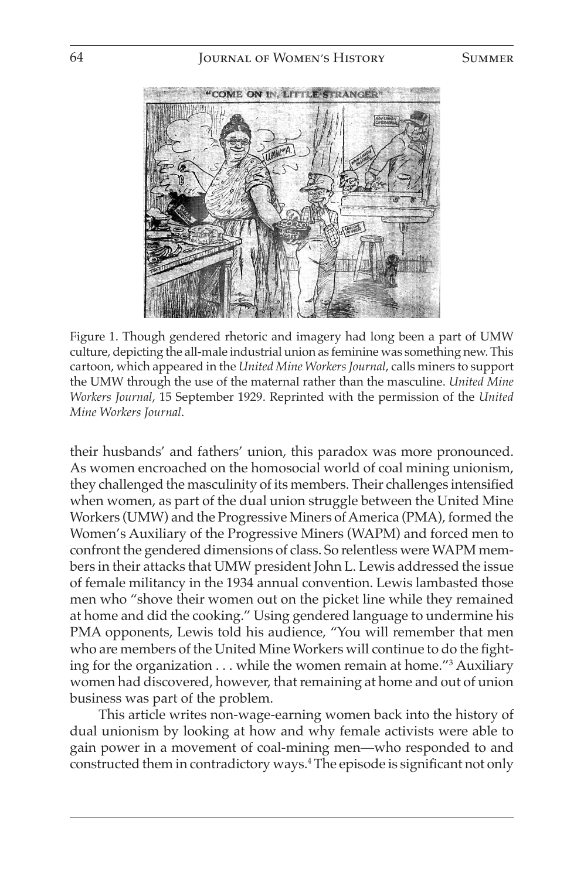

Figure 1. Though gendered rhetoric and imagery had long been a part of UMW culture, depicting the all-male industrial union as feminine was something new. This cartoon, which appeared in the *United Mine Workers Journal*, calls miners to support the UMW through the use of the maternal rather than the masculine. *United Mine Workers Journal*, 15 September 1929. Reprinted with the permission of the *United Mine Workers Journal*.

their husbands' and fathers' union, this paradox was more pronounced. As women encroached on the homosocial world of coal mining unionism, they challenged the masculinity of its members. Their challenges intensified when women, as part of the dual union struggle between the United Mine Workers (UMW) and the Progressive Miners of America (PMA), formed the Women's Auxiliary of the Progressive Miners (WAPM) and forced men to confront the gendered dimensions of class. So relentless were WAPM members in their attacks that UMW president John L. Lewis addressed the issue of female militancy in the 1934 annual convention. Lewis lambasted those men who "shove their women out on the picket line while they remained at home and did the cooking." Using gendered language to undermine his PMA opponents, Lewis told his audience, "You will remember that men who are members of the United Mine Workers will continue to do the fighting for the organization . . . while the women remain at home."3 Auxiliary women had discovered, however, that remaining at home and out of union business was part of the problem.

This article writes non-wage-earning women back into the history of dual unionism by looking at how and why female activists were able to gain power in a movement of coal-mining men—who responded to and constructed them in contradictory ways.4 The episode is significant not only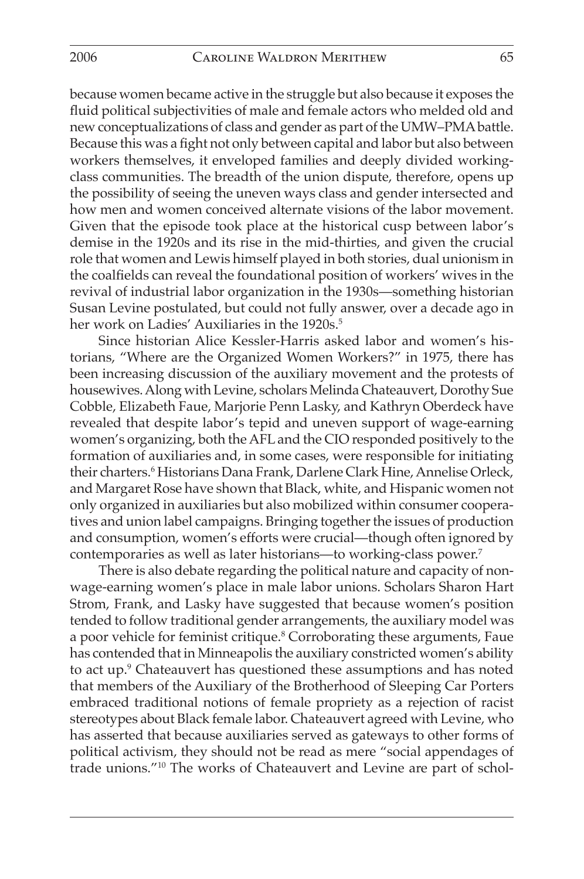because women became active in the struggle but also because it exposes the fluid political subjectivities of male and female actors who melded old and new conceptualizations of class and gender as part of the UMW–PMA battle. Because this was a fight not only between capital and labor but also between workers themselves, it enveloped families and deeply divided workingclass communities. The breadth of the union dispute, therefore, opens up the possibility of seeing the uneven ways class and gender intersected and how men and women conceived alternate visions of the labor movement. Given that the episode took place at the historical cusp between labor's demise in the 1920s and its rise in the mid-thirties, and given the crucial role that women and Lewis himself played in both stories, dual unionism in the coalfields can reveal the foundational position of workers' wives in the revival of industrial labor organization in the 1930s—something historian Susan Levine postulated, but could not fully answer, over a decade ago in her work on Ladies' Auxiliaries in the 1920s.<sup>5</sup>

Since historian Alice Kessler-Harris asked labor and women's historians, "Where are the Organized Women Workers?" in 1975, there has been increasing discussion of the auxiliary movement and the protests of housewives. Along with Levine, scholars Melinda Chateauvert, Dorothy Sue Cobble, Elizabeth Faue, Marjorie Penn Lasky, and Kathryn Oberdeck have revealed that despite labor's tepid and uneven support of wage-earning women's organizing, both the AFL and the CIO responded positively to the formation of auxiliaries and, in some cases, were responsible for initiating their charters.<sup>6</sup> Historians Dana Frank, Darlene Clark Hine, Annelise Orleck, and Margaret Rose have shown that Black, white, and Hispanic women not only organized in auxiliaries but also mobilized within consumer cooperatives and union label campaigns. Bringing together the issues of production and consumption, women's efforts were crucial—though often ignored by contemporaries as well as later historians—to working-class power.7

There is also debate regarding the political nature and capacity of nonwage-earning women's place in male labor unions. Scholars Sharon Hart Strom, Frank, and Lasky have suggested that because women's position tended to follow traditional gender arrangements, the auxiliary model was a poor vehicle for feminist critique.<sup>8</sup> Corroborating these arguments, Faue has contended that in Minneapolis the auxiliary constricted women's ability to act up.9 Chateauvert has questioned these assumptions and has noted that members of the Auxiliary of the Brotherhood of Sleeping Car Porters embraced traditional notions of female propriety as a rejection of racist stereotypes about Black female labor. Chateauvert agreed with Levine, who has asserted that because auxiliaries served as gateways to other forms of political activism, they should not be read as mere "social appendages of trade unions."10 The works of Chateauvert and Levine are part of schol-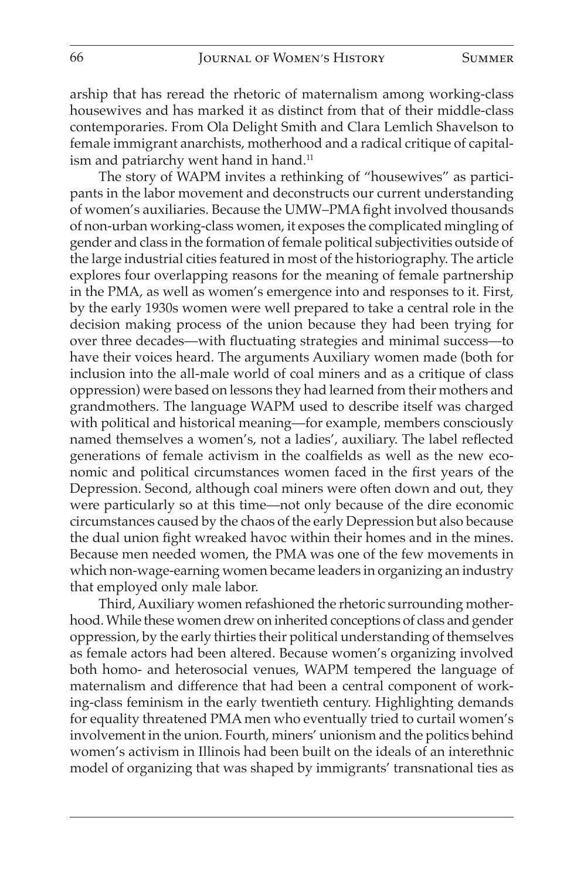arship that has reread the rhetoric of maternalism among working-class housewives and has marked it as distinct from that of their middle-class contemporaries. From Ola Delight Smith and Clara Lemlich Shavelson to female immigrant anarchists, motherhood and a radical critique of capitalism and patriarchy went hand in hand.<sup>11</sup>

The story of WAPM invites a rethinking of "housewives" as participants in the labor movement and deconstructs our current understanding of women's auxiliaries. Because the UMW–PMA fight involved thousands of non-urban working-class women, it exposes the complicated mingling of gender and class in the formation of female political subjectivities outside of the large industrial cities featured in most of the historiography. The article explores four overlapping reasons for the meaning of female partnership in the PMA, as well as women's emergence into and responses to it. First, by the early 1930s women were well prepared to take a central role in the decision making process of the union because they had been trying for over three decades—with fluctuating strategies and minimal success—to have their voices heard. The arguments Auxiliary women made (both for inclusion into the all-male world of coal miners and as a critique of class oppression) were based on lessons they had learned from their mothers and grandmothers. The language WAPM used to describe itself was charged with political and historical meaning—for example, members consciously named themselves a women's, not a ladies', auxiliary. The label reflected generations of female activism in the coalfields as well as the new economic and political circumstances women faced in the first years of the Depression. Second, although coal miners were often down and out, they were particularly so at this time—not only because of the dire economic circumstances caused by the chaos of the early Depression but also because the dual union fight wreaked havoc within their homes and in the mines. Because men needed women, the PMA was one of the few movements in which non-wage-earning women became leaders in organizing an industry that employed only male labor.

Third, Auxiliary women refashioned the rhetoric surrounding motherhood. While these women drew on inherited conceptions of class and gender oppression, by the early thirties their political understanding of themselves as female actors had been altered. Because women's organizing involved both homo- and heterosocial venues, WAPM tempered the language of maternalism and difference that had been a central component of working-class feminism in the early twentieth century. Highlighting demands for equality threatened PMA men who eventually tried to curtail women's involvement in the union. Fourth, miners' unionism and the politics behind women's activism in Illinois had been built on the ideals of an interethnic model of organizing that was shaped by immigrants' transnational ties as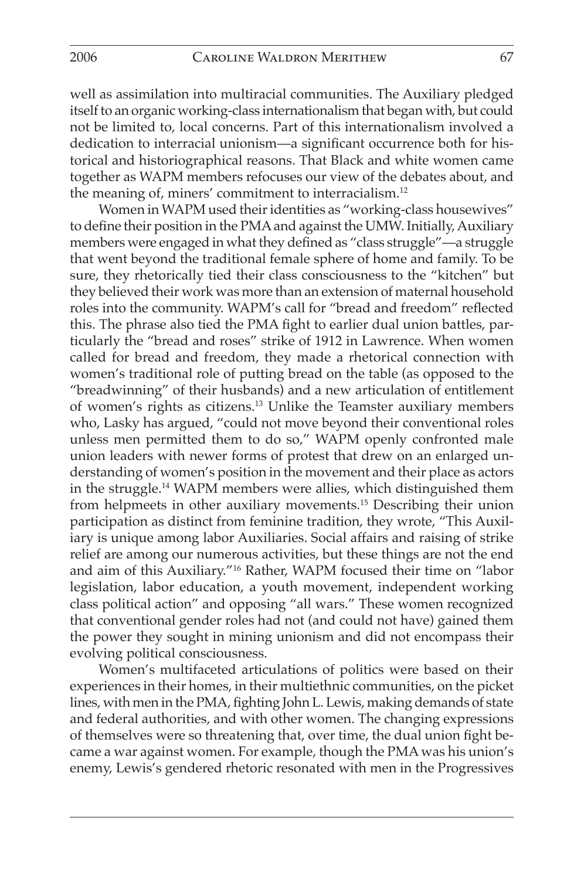well as assimilation into multiracial communities. The Auxiliary pledged itself to an organic working-class internationalism that began with, but could not be limited to, local concerns. Part of this internationalism involved a dedication to interracial unionism—a significant occurrence both for historical and historiographical reasons. That Black and white women came together as WAPM members refocuses our view of the debates about, and the meaning of, miners' commitment to interracialism.<sup>12</sup>

Women in WAPM used their identities as "working-class housewives" to define their position in the PMA and against the UMW. Initially, Auxiliary members were engaged in what they defined as "class struggle"—a struggle that went beyond the traditional female sphere of home and family. To be sure, they rhetorically tied their class consciousness to the "kitchen" but they believed their work was more than an extension of maternal household roles into the community. WAPM's call for "bread and freedom" reflected this. The phrase also tied the PMA fight to earlier dual union battles, particularly the "bread and roses" strike of 1912 in Lawrence. When women called for bread and freedom, they made a rhetorical connection with women's traditional role of putting bread on the table (as opposed to the "breadwinning" of their husbands) and a new articulation of entitlement of women's rights as citizens.13 Unlike the Teamster auxiliary members who, Lasky has argued, "could not move beyond their conventional roles unless men permitted them to do so," WAPM openly confronted male union leaders with newer forms of protest that drew on an enlarged understanding of women's position in the movement and their place as actors in the struggle.14 WAPM members were allies, which distinguished them from helpmeets in other auxiliary movements.15 Describing their union participation as distinct from feminine tradition, they wrote, "This Auxiliary is unique among labor Auxiliaries. Social affairs and raising of strike relief are among our numerous activities, but these things are not the end and aim of this Auxiliary."16 Rather, WAPM focused their time on "labor legislation, labor education, a youth movement, independent working class political action" and opposing "all wars." These women recognized that conventional gender roles had not (and could not have) gained them the power they sought in mining unionism and did not encompass their evolving political consciousness.

Women's multifaceted articulations of politics were based on their experiences in their homes, in their multiethnic communities, on the picket lines, with men in the PMA, fighting John L. Lewis, making demands of state and federal authorities, and with other women. The changing expressions of themselves were so threatening that, over time, the dual union fight became a war against women. For example, though the PMA was his union's enemy, Lewis's gendered rhetoric resonated with men in the Progressives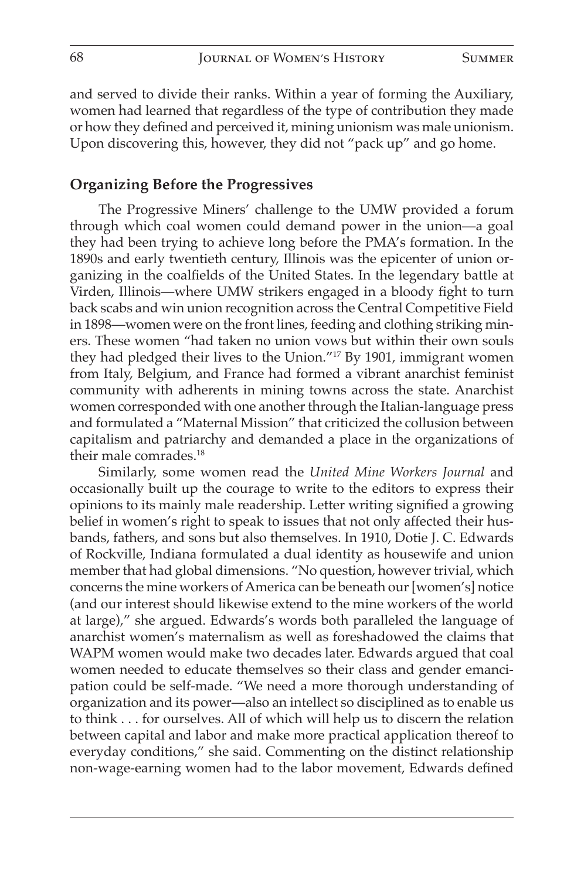and served to divide their ranks. Within a year of forming the Auxiliary, women had learned that regardless of the type of contribution they made or how they defined and perceived it, mining unionism was male unionism. Upon discovering this, however, they did not "pack up" and go home.

## **Organizing Before the Progressives**

The Progressive Miners' challenge to the UMW provided a forum through which coal women could demand power in the union—a goal they had been trying to achieve long before the PMA's formation. In the 1890s and early twentieth century, Illinois was the epicenter of union organizing in the coalfields of the United States. In the legendary battle at Virden, Illinois—where UMW strikers engaged in a bloody fight to turn back scabs and win union recognition across the Central Competitive Field in 1898—women were on the front lines, feeding and clothing striking miners. These women "had taken no union vows but within their own souls they had pledged their lives to the Union."17 By 1901, immigrant women from Italy, Belgium, and France had formed a vibrant anarchist feminist community with adherents in mining towns across the state. Anarchist women corresponded with one another through the Italian-language press and formulated a "Maternal Mission" that criticized the collusion between capitalism and patriarchy and demanded a place in the organizations of their male comrades.<sup>18</sup>

Similarly, some women read the *United Mine Workers Journal* and occasionally built up the courage to write to the editors to express their opinions to its mainly male readership. Letter writing signified a growing belief in women's right to speak to issues that not only affected their husbands, fathers, and sons but also themselves. In 1910, Dotie J. C. Edwards of Rockville, Indiana formulated a dual identity as housewife and union member that had global dimensions. "No question, however trivial, which concerns the mine workers of America can be beneath our [women's] notice (and our interest should likewise extend to the mine workers of the world at large)," she argued. Edwards's words both paralleled the language of anarchist women's maternalism as well as foreshadowed the claims that WAPM women would make two decades later. Edwards argued that coal women needed to educate themselves so their class and gender emancipation could be self-made. "We need a more thorough understanding of organization and its power—also an intellect so disciplined as to enable us to think . . . for ourselves. All of which will help us to discern the relation between capital and labor and make more practical application thereof to everyday conditions," she said. Commenting on the distinct relationship non-wage-earning women had to the labor movement, Edwards defined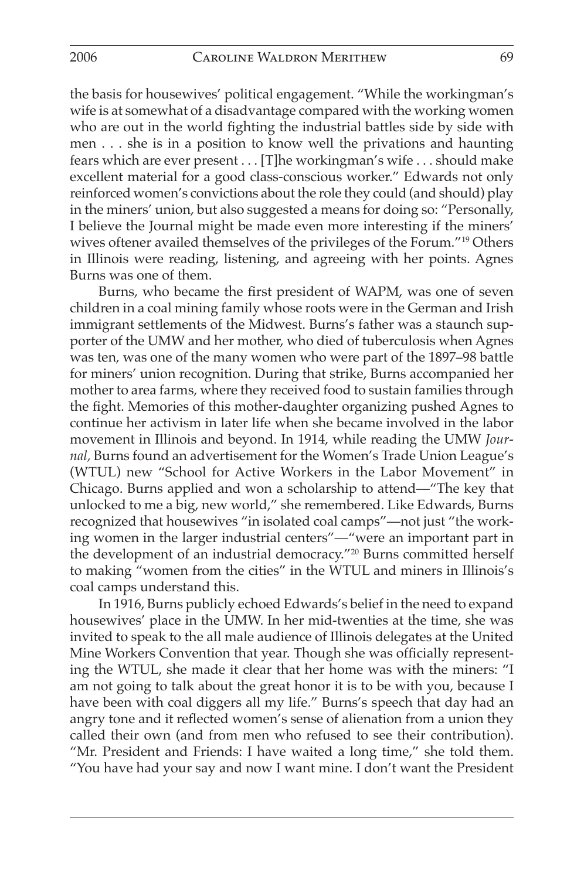the basis for housewives' political engagement. "While the workingman's wife is at somewhat of a disadvantage compared with the working women who are out in the world fighting the industrial battles side by side with men . . . she is in a position to know well the privations and haunting fears which are ever present . . . [T]he workingman's wife . . . should make excellent material for a good class-conscious worker." Edwards not only reinforced women's convictions about the role they could (and should) play in the miners' union, but also suggested a means for doing so: "Personally, I believe the Journal might be made even more interesting if the miners' wives oftener availed themselves of the privileges of the Forum.<sup>"19</sup> Others in Illinois were reading, listening, and agreeing with her points. Agnes Burns was one of them.

Burns, who became the first president of WAPM, was one of seven children in a coal mining family whose roots were in the German and Irish immigrant settlements of the Midwest. Burns's father was a staunch supporter of the UMW and her mother, who died of tuberculosis when Agnes was ten, was one of the many women who were part of the 1897–98 battle for miners' union recognition. During that strike, Burns accompanied her mother to area farms, where they received food to sustain families through the fight. Memories of this mother-daughter organizing pushed Agnes to continue her activism in later life when she became involved in the labor movement in Illinois and beyond. In 1914, while reading the UMW *Journal,* Burns found an advertisement for the Women's Trade Union League's (WTUL) new "School for Active Workers in the Labor Movement" in Chicago. Burns applied and won a scholarship to attend—"The key that unlocked to me a big, new world," she remembered. Like Edwards, Burns recognized that housewives "in isolated coal camps"—not just "the working women in the larger industrial centers"—"were an important part in the development of an industrial democracy."20 Burns committed herself to making "women from the cities" in the WTUL and miners in Illinois's coal camps understand this.

In 1916, Burns publicly echoed Edwards's belief in the need to expand housewives' place in the UMW. In her mid-twenties at the time, she was invited to speak to the all male audience of Illinois delegates at the United Mine Workers Convention that year. Though she was officially representing the WTUL, she made it clear that her home was with the miners: "I am not going to talk about the great honor it is to be with you, because I have been with coal diggers all my life." Burns's speech that day had an angry tone and it reflected women's sense of alienation from a union they called their own (and from men who refused to see their contribution). "Mr. President and Friends: I have waited a long time," she told them. "You have had your say and now I want mine. I don't want the President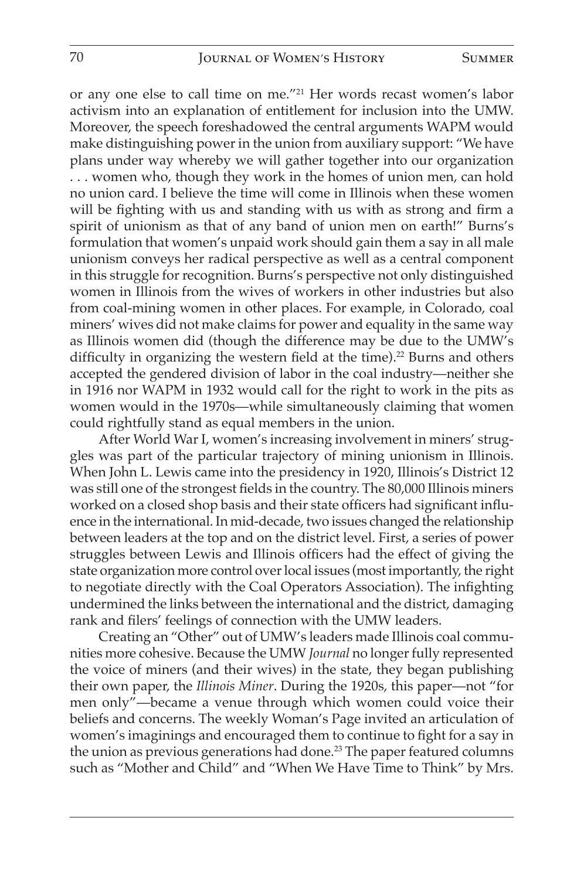#### 70 **JOURNAL OF WOMEN'S HISTORY** SUMMER

or any one else to call time on me."21 Her words recast women's labor activism into an explanation of entitlement for inclusion into the UMW. Moreover, the speech foreshadowed the central arguments WAPM would make distinguishing power in the union from auxiliary support: "We have plans under way whereby we will gather together into our organization . . . women who, though they work in the homes of union men, can hold no union card. I believe the time will come in Illinois when these women will be fighting with us and standing with us with as strong and firm a spirit of unionism as that of any band of union men on earth!" Burns's formulation that women's unpaid work should gain them a say in all male unionism conveys her radical perspective as well as a central component in this struggle for recognition. Burns's perspective not only distinguished women in Illinois from the wives of workers in other industries but also from coal-mining women in other places. For example, in Colorado, coal miners' wives did not make claims for power and equality in the same way as Illinois women did (though the difference may be due to the UMW's difficulty in organizing the western field at the time).<sup>22</sup> Burns and others accepted the gendered division of labor in the coal industry—neither she in 1916 nor WAPM in 1932 would call for the right to work in the pits as women would in the 1970s—while simultaneously claiming that women could rightfully stand as equal members in the union.

After World War I, women's increasing involvement in miners' struggles was part of the particular trajectory of mining unionism in Illinois. When John L. Lewis came into the presidency in 1920, Illinois's District 12 was still one of the strongest fields in the country. The 80,000 Illinois miners worked on a closed shop basis and their state officers had significant influence in the international. In mid-decade, two issues changed the relationship between leaders at the top and on the district level. First, a series of power struggles between Lewis and Illinois officers had the effect of giving the state organization more control over local issues (most importantly, the right to negotiate directly with the Coal Operators Association). The infighting undermined the links between the international and the district, damaging rank and filers' feelings of connection with the UMW leaders.

Creating an "Other" out of UMW's leaders made Illinois coal communities more cohesive. Because the UMW *Journal* no longer fully represented the voice of miners (and their wives) in the state, they began publishing their own paper, the *Illinois Miner*. During the 1920s, this paper—not "for men only"—became a venue through which women could voice their beliefs and concerns. The weekly Woman's Page invited an articulation of women's imaginings and encouraged them to continue to fight for a say in the union as previous generations had done.<sup>23</sup> The paper featured columns such as "Mother and Child" and "When We Have Time to Think" by Mrs.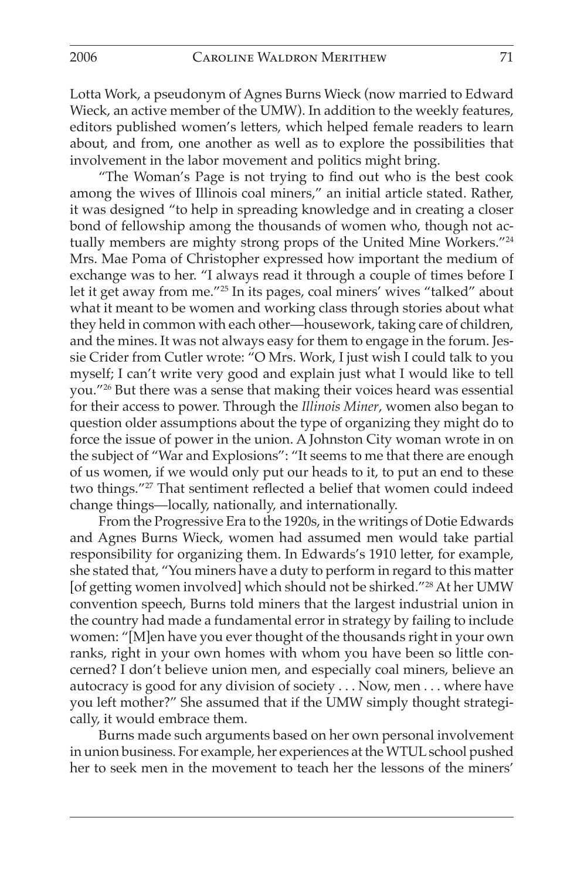Lotta Work, a pseudonym of Agnes Burns Wieck (now married to Edward Wieck, an active member of the UMW). In addition to the weekly features, editors published women's letters, which helped female readers to learn about, and from, one another as well as to explore the possibilities that involvement in the labor movement and politics might bring.

"The Woman's Page is not trying to find out who is the best cook among the wives of Illinois coal miners," an initial article stated. Rather, it was designed "to help in spreading knowledge and in creating a closer bond of fellowship among the thousands of women who, though not actually members are mighty strong props of the United Mine Workers."24 Mrs. Mae Poma of Christopher expressed how important the medium of exchange was to her. "I always read it through a couple of times before I let it get away from me."<sup>25</sup> In its pages, coal miners' wives "talked" about what it meant to be women and working class through stories about what they held in common with each other—housework, taking care of children, and the mines. It was not always easy for them to engage in the forum. Jessie Crider from Cutler wrote: "O Mrs. Work, I just wish I could talk to you myself; I can't write very good and explain just what I would like to tell you."26 But there was a sense that making their voices heard was essential for their access to power. Through the *Illinois Miner*, women also began to question older assumptions about the type of organizing they might do to force the issue of power in the union. A Johnston City woman wrote in on the subject of "War and Explosions": "It seems to me that there are enough of us women, if we would only put our heads to it, to put an end to these two things."27 That sentiment reflected a belief that women could indeed change things—locally, nationally, and internationally.

From the Progressive Era to the 1920s, in the writings of Dotie Edwards and Agnes Burns Wieck, women had assumed men would take partial responsibility for organizing them. In Edwards's 1910 letter, for example, she stated that, "You miners have a duty to perform in regard to this matter [of getting women involved] which should not be shirked."28 At her UMW convention speech, Burns told miners that the largest industrial union in the country had made a fundamental error in strategy by failing to include women: "[M]en have you ever thought of the thousands right in your own ranks, right in your own homes with whom you have been so little concerned? I don't believe union men, and especially coal miners, believe an autocracy is good for any division of society . . . Now, men . . . where have you left mother?" She assumed that if the UMW simply thought strategically, it would embrace them.

Burns made such arguments based on her own personal involvement in union business. For example, her experiences at the WTUL school pushed her to seek men in the movement to teach her the lessons of the miners'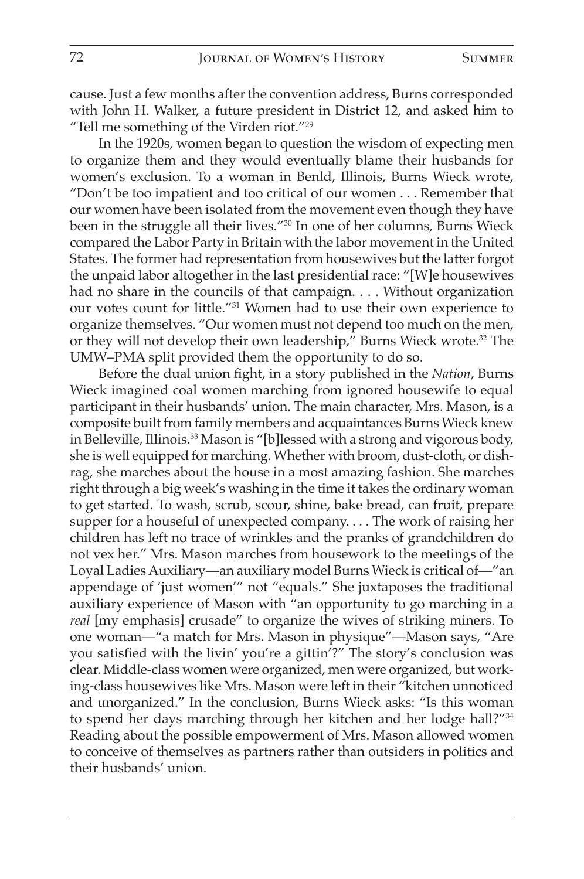cause. Just a few months after the convention address, Burns corresponded with John H. Walker, a future president in District 12, and asked him to "Tell me something of the Virden riot."29

In the 1920s, women began to question the wisdom of expecting men to organize them and they would eventually blame their husbands for women's exclusion. To a woman in Benld, Illinois, Burns Wieck wrote, "Don't be too impatient and too critical of our women . . . Remember that our women have been isolated from the movement even though they have been in the struggle all their lives."30 In one of her columns, Burns Wieck compared the Labor Party in Britain with the labor movement in the United States. The former had representation from housewives but the latter forgot the unpaid labor altogether in the last presidential race: "[W]e housewives had no share in the councils of that campaign. . . . Without organization our votes count for little."31 Women had to use their own experience to organize themselves. "Our women must not depend too much on the men, or they will not develop their own leadership," Burns Wieck wrote.32 The UMW–PMA split provided them the opportunity to do so.

Before the dual union fight, in a story published in the *Nation*, Burns Wieck imagined coal women marching from ignored housewife to equal participant in their husbands' union. The main character, Mrs. Mason, is a composite built from family members and acquaintances Burns Wieck knew in Belleville, Illinois.33 Mason is "[b]lessed with a strong and vigorous body, she is well equipped for marching. Whether with broom, dust-cloth, or dishrag, she marches about the house in a most amazing fashion. She marches right through a big week's washing in the time it takes the ordinary woman to get started. To wash, scrub, scour, shine, bake bread, can fruit, prepare supper for a houseful of unexpected company. . . . The work of raising her children has left no trace of wrinkles and the pranks of grandchildren do not vex her." Mrs. Mason marches from housework to the meetings of the Loyal Ladies Auxiliary—an auxiliary model Burns Wieck is critical of—"an appendage of 'just women'" not "equals." She juxtaposes the traditional auxiliary experience of Mason with "an opportunity to go marching in a *real* [my emphasis] crusade" to organize the wives of striking miners. To one woman—"a match for Mrs. Mason in physique"—Mason says, "Are you satisfied with the livin' you're a gittin'?" The story's conclusion was clear. Middle-class women were organized, men were organized, but working-class housewives like Mrs. Mason were left in their "kitchen unnoticed and unorganized." In the conclusion, Burns Wieck asks: "Is this woman to spend her days marching through her kitchen and her lodge hall?"34 Reading about the possible empowerment of Mrs. Mason allowed women to conceive of themselves as partners rather than outsiders in politics and their husbands' union.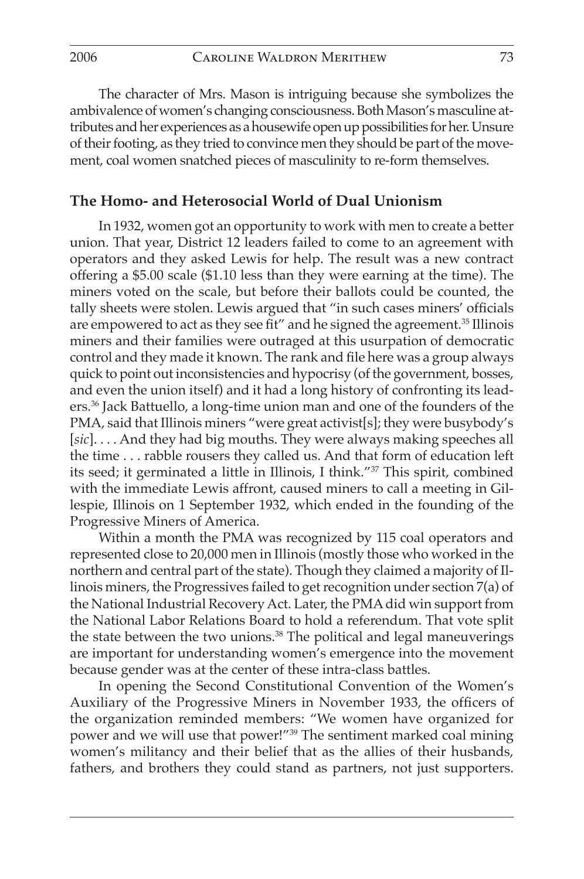The character of Mrs. Mason is intriguing because she symbolizes the ambivalence of women's changing consciousness. Both Mason's masculine attributes and her experiences as a housewife open up possibilities for her. Unsure of their footing, as they tried to convince men they should be part of the movement, coal women snatched pieces of masculinity to re-form themselves.

#### **The Homo- and Heterosocial World of Dual Unionism**

In 1932, women got an opportunity to work with men to create a better union. That year, District 12 leaders failed to come to an agreement with operators and they asked Lewis for help. The result was a new contract offering a \$5.00 scale (\$1.10 less than they were earning at the time). The miners voted on the scale, but before their ballots could be counted, the tally sheets were stolen. Lewis argued that "in such cases miners' officials are empowered to act as they see fit" and he signed the agreement.<sup>35</sup> Illinois miners and their families were outraged at this usurpation of democratic control and they made it known. The rank and file here was a group always quick to point out inconsistencies and hypocrisy (of the government, bosses, and even the union itself) and it had a long history of confronting its leaders.36 Jack Battuello, a long-time union man and one of the founders of the PMA, said that Illinois miners "were great activist[s]; they were busybody's [*sic*]. . . . And they had big mouths. They were always making speeches all the time . . . rabble rousers they called us. And that form of education left its seed; it germinated a little in Illinois, I think."37 This spirit, combined with the immediate Lewis affront, caused miners to call a meeting in Gillespie, Illinois on 1 September 1932, which ended in the founding of the Progressive Miners of America.

Within a month the PMA was recognized by 115 coal operators and represented close to 20,000 men in Illinois (mostly those who worked in the northern and central part of the state). Though they claimed a majority of Illinois miners, the Progressives failed to get recognition under section 7(a) of the National Industrial Recovery Act. Later, the PMA did win support from the National Labor Relations Board to hold a referendum. That vote split the state between the two unions.<sup>38</sup> The political and legal maneuverings are important for understanding women's emergence into the movement because gender was at the center of these intra-class battles.

In opening the Second Constitutional Convention of the Women's Auxiliary of the Progressive Miners in November 1933, the officers of the organization reminded members: "We women have organized for power and we will use that power!"39 The sentiment marked coal mining women's militancy and their belief that as the allies of their husbands, fathers, and brothers they could stand as partners, not just supporters.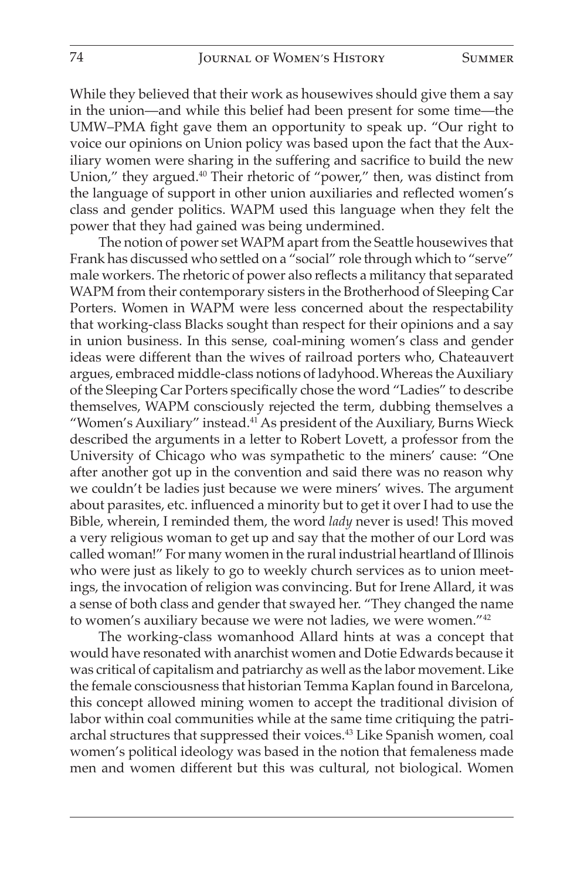While they believed that their work as housewives should give them a say in the union—and while this belief had been present for some time—the UMW–PMA fight gave them an opportunity to speak up. "Our right to voice our opinions on Union policy was based upon the fact that the Auxiliary women were sharing in the suffering and sacrifice to build the new Union," they argued.<sup>40</sup> Their rhetoric of "power," then, was distinct from the language of support in other union auxiliaries and reflected women's class and gender politics. WAPM used this language when they felt the power that they had gained was being undermined.

The notion of power set WAPM apart from the Seattle housewives that Frank has discussed who settled on a "social" role through which to "serve" male workers. The rhetoric of power also reflects a militancy that separated WAPM from their contemporary sisters in the Brotherhood of Sleeping Car Porters. Women in WAPM were less concerned about the respectability that working-class Blacks sought than respect for their opinions and a say in union business. In this sense, coal-mining women's class and gender ideas were different than the wives of railroad porters who, Chateauvert argues, embraced middle-class notions of ladyhood.Whereas the Auxiliary of the Sleeping Car Porters specifically chose the word "Ladies" to describe themselves, WAPM consciously rejected the term, dubbing themselves a "Women's Auxiliary" instead.41 As president of the Auxiliary, Burns Wieck described the arguments in a letter to Robert Lovett, a professor from the University of Chicago who was sympathetic to the miners' cause: "One after another got up in the convention and said there was no reason why we couldn't be ladies just because we were miners' wives. The argument about parasites, etc. influenced a minority but to get it over I had to use the Bible, wherein, I reminded them, the word *lady* never is used! This moved a very religious woman to get up and say that the mother of our Lord was called woman!" For many women in the rural industrial heartland of Illinois who were just as likely to go to weekly church services as to union meetings, the invocation of religion was convincing. But for Irene Allard, it was a sense of both class and gender that swayed her. "They changed the name to women's auxiliary because we were not ladies, we were women."42

The working-class womanhood Allard hints at was a concept that would have resonated with anarchist women and Dotie Edwards because it was critical of capitalism and patriarchy as well as the labor movement. Like the female consciousness that historian Temma Kaplan found in Barcelona, this concept allowed mining women to accept the traditional division of labor within coal communities while at the same time critiquing the patriarchal structures that suppressed their voices.43 Like Spanish women, coal women's political ideology was based in the notion that femaleness made men and women different but this was cultural, not biological. Women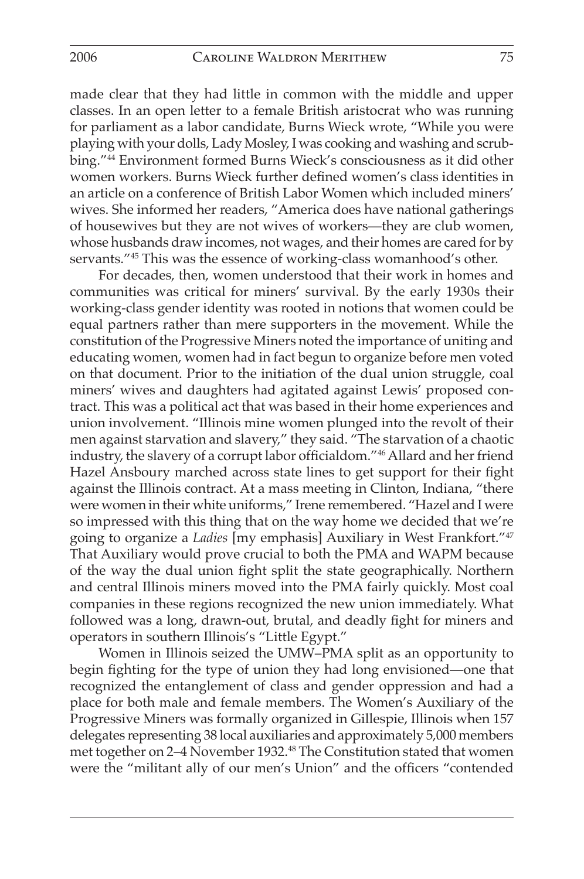#### 2006 Caroline Waldron Merithew 75

made clear that they had little in common with the middle and upper classes. In an open letter to a female British aristocrat who was running for parliament as a labor candidate, Burns Wieck wrote, "While you were playing with your dolls, Lady Mosley, I was cooking and washing and scrubbing."44 Environment formed Burns Wieck's consciousness as it did other women workers. Burns Wieck further defined women's class identities in an article on a conference of British Labor Women which included miners' wives. She informed her readers, "America does have national gatherings of housewives but they are not wives of workers—they are club women, whose husbands draw incomes, not wages, and their homes are cared for by servants."<sup>45</sup> This was the essence of working-class womanhood's other.

For decades, then, women understood that their work in homes and communities was critical for miners' survival. By the early 1930s their working-class gender identity was rooted in notions that women could be equal partners rather than mere supporters in the movement. While the constitution of the Progressive Miners noted the importance of uniting and educating women, women had in fact begun to organize before men voted on that document. Prior to the initiation of the dual union struggle, coal miners' wives and daughters had agitated against Lewis' proposed contract. This was a political act that was based in their home experiences and union involvement. "Illinois mine women plunged into the revolt of their men against starvation and slavery," they said. "The starvation of a chaotic industry, the slavery of a corrupt labor officialdom."46 Allard and her friend Hazel Ansboury marched across state lines to get support for their fight against the Illinois contract. At a mass meeting in Clinton, Indiana, "there were women in their white uniforms," Irene remembered. "Hazel and I were so impressed with this thing that on the way home we decided that we're going to organize a *Ladies* [my emphasis] Auxiliary in West Frankfort."47 That Auxiliary would prove crucial to both the PMA and WAPM because of the way the dual union fight split the state geographically. Northern and central Illinois miners moved into the PMA fairly quickly. Most coal companies in these regions recognized the new union immediately. What followed was a long, drawn-out, brutal, and deadly fight for miners and operators in southern Illinois's "Little Egypt."

Women in Illinois seized the UMW–PMA split as an opportunity to begin fighting for the type of union they had long envisioned—one that recognized the entanglement of class and gender oppression and had a place for both male and female members. The Women's Auxiliary of the Progressive Miners was formally organized in Gillespie, Illinois when 157 delegates representing 38 local auxiliaries and approximately 5,000 members met together on 2–4 November 1932.<sup>48</sup> The Constitution stated that women were the "militant ally of our men's Union" and the officers "contended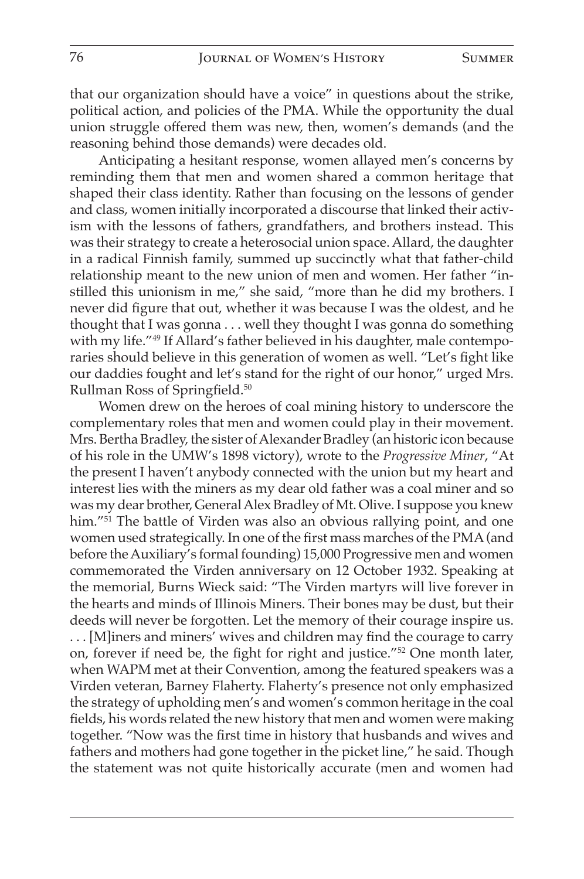that our organization should have a voice" in questions about the strike, political action, and policies of the PMA. While the opportunity the dual union struggle offered them was new, then, women's demands (and the reasoning behind those demands) were decades old.

Anticipating a hesitant response, women allayed men's concerns by reminding them that men and women shared a common heritage that shaped their class identity. Rather than focusing on the lessons of gender and class, women initially incorporated a discourse that linked their activism with the lessons of fathers, grandfathers, and brothers instead. This was their strategy to create a heterosocial union space. Allard, the daughter in a radical Finnish family, summed up succinctly what that father-child relationship meant to the new union of men and women. Her father "instilled this unionism in me," she said, "more than he did my brothers. I never did figure that out, whether it was because I was the oldest, and he thought that I was gonna . . . well they thought I was gonna do something with my life."49 If Allard's father believed in his daughter, male contemporaries should believe in this generation of women as well. "Let's fight like our daddies fought and let's stand for the right of our honor," urged Mrs. Rullman Ross of Springfield.<sup>50</sup>

Women drew on the heroes of coal mining history to underscore the complementary roles that men and women could play in their movement. Mrs. Bertha Bradley, the sister of Alexander Bradley (an historic icon because of his role in the UMW's 1898 victory), wrote to the *Progressive Miner*, "At the present I haven't anybody connected with the union but my heart and interest lies with the miners as my dear old father was a coal miner and so was my dear brother, General Alex Bradley of Mt. Olive. I suppose you knew him."<sup>51</sup> The battle of Virden was also an obvious rallying point, and one women used strategically. In one of the first mass marches of the PMA (and before the Auxiliary's formal founding) 15,000 Progressive men and women commemorated the Virden anniversary on 12 October 1932. Speaking at the memorial, Burns Wieck said: "The Virden martyrs will live forever in the hearts and minds of Illinois Miners. Their bones may be dust, but their deeds will never be forgotten. Let the memory of their courage inspire us. . . . [M]iners and miners' wives and children may find the courage to carry on, forever if need be, the fight for right and justice."52 One month later, when WAPM met at their Convention, among the featured speakers was a Virden veteran, Barney Flaherty. Flaherty's presence not only emphasized the strategy of upholding men's and women's common heritage in the coal fields, his words related the new history that men and women were making together. "Now was the first time in history that husbands and wives and fathers and mothers had gone together in the picket line," he said. Though the statement was not quite historically accurate (men and women had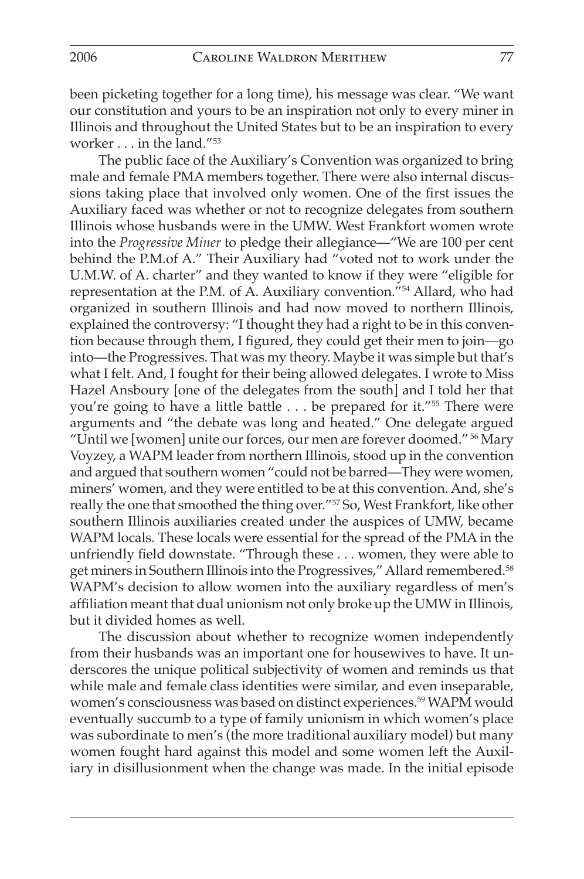been picketing together for a long time), his message was clear. "We want our constitution and yours to be an inspiration not only to every miner in Illinois and throughout the United States but to be an inspiration to every worker . . . in the land."53

The public face of the Auxiliary's Convention was organized to bring male and female PMA members together. There were also internal discussions taking place that involved only women. One of the first issues the Auxiliary faced was whether or not to recognize delegates from southern Illinois whose husbands were in the UMW. West Frankfort women wrote into the *Progressive Miner* to pledge their allegiance—"We are 100 per cent behind the P.M.of A." Their Auxiliary had "voted not to work under the U.M.W. of A. charter" and they wanted to know if they were "eligible for representation at the P.M. of A. Auxiliary convention."54 Allard, who had organized in southern Illinois and had now moved to northern Illinois, explained the controversy: "I thought they had a right to be in this convention because through them, I figured, they could get their men to join—go into—the Progressives. That was my theory. Maybe it was simple but that's what I felt. And, I fought for their being allowed delegates. I wrote to Miss Hazel Ansboury [one of the delegates from the south] and I told her that you're going to have a little battle  $\ldots$  be prepared for it."<sup>55</sup> There were arguments and "the debate was long and heated." One delegate argued "Until we [women] unite our forces, our men are forever doomed." 56 Mary Voyzey, a WAPM leader from northern Illinois, stood up in the convention and argued that southern women "could not be barred—They were women, miners' women, and they were entitled to be at this convention. And, she's really the one that smoothed the thing over."57 So, West Frankfort, like other southern Illinois auxiliaries created under the auspices of UMW, became WAPM locals. These locals were essential for the spread of the PMA in the unfriendly field downstate. "Through these . . . women, they were able to get miners in Southern Illinois into the Progressives," Allard remembered.58 WAPM's decision to allow women into the auxiliary regardless of men's affiliation meant that dual unionism not only broke up the UMW in Illinois, but it divided homes as well.

The discussion about whether to recognize women independently from their husbands was an important one for housewives to have. It underscores the unique political subjectivity of women and reminds us that while male and female class identities were similar, and even inseparable, women's consciousness was based on distinct experiences.<sup>59</sup> WAPM would eventually succumb to a type of family unionism in which women's place was subordinate to men's (the more traditional auxiliary model) but many women fought hard against this model and some women left the Auxiliary in disillusionment when the change was made. In the initial episode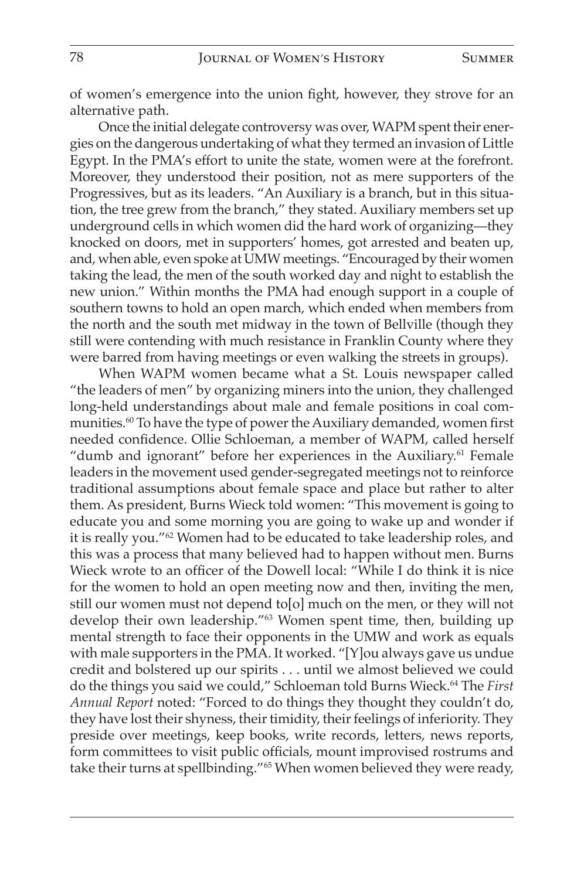of women's emergence into the union fight, however, they strove for an alternative path.

Once the initial delegate controversy was over, WAPM spent their energies on the dangerous undertaking of what they termed an invasion of Little Egypt. In the PMA's effort to unite the state, women were at the forefront. Moreover, they understood their position, not as mere supporters of the Progressives, but as its leaders. "An Auxiliary is a branch, but in this situation, the tree grew from the branch," they stated. Auxiliary members set up underground cells in which women did the hard work of organizing—they knocked on doors, met in supporters' homes, got arrested and beaten up, and, when able, even spoke at UMW meetings. "Encouraged by their women taking the lead, the men of the south worked day and night to establish the new union." Within months the PMA had enough support in a couple of southern towns to hold an open march, which ended when members from the north and the south met midway in the town of Bellville (though they still were contending with much resistance in Franklin County where they were barred from having meetings or even walking the streets in groups).

When WAPM women became what a St. Louis newspaper called "the leaders of men" by organizing miners into the union, they challenged long-held understandings about male and female positions in coal communities.<sup>60</sup> To have the type of power the Auxiliary demanded, women first needed confidence. Ollie Schloeman, a member of WAPM, called herself "dumb and ignorant" before her experiences in the Auxiliary.61 Female leaders in the movement used gender-segregated meetings not to reinforce traditional assumptions about female space and place but rather to alter them. As president, Burns Wieck told women: "This movement is going to educate you and some morning you are going to wake up and wonder if it is really you."62 Women had to be educated to take leadership roles, and this was a process that many believed had to happen without men. Burns Wieck wrote to an officer of the Dowell local: "While I do think it is nice for the women to hold an open meeting now and then, inviting the men, still our women must not depend to[o] much on the men, or they will not develop their own leadership."63 Women spent time, then, building up mental strength to face their opponents in the UMW and work as equals with male supporters in the PMA. It worked. "[Y]ou always gave us undue credit and bolstered up our spirits . . . until we almost believed we could do the things you said we could," Schloeman told Burns Wieck.64 The *First Annual Report* noted: "Forced to do things they thought they couldn't do, they have lost their shyness, their timidity, their feelings of inferiority. They preside over meetings, keep books, write records, letters, news reports, form committees to visit public officials, mount improvised rostrums and take their turns at spellbinding."<sup>65</sup> When women believed they were ready,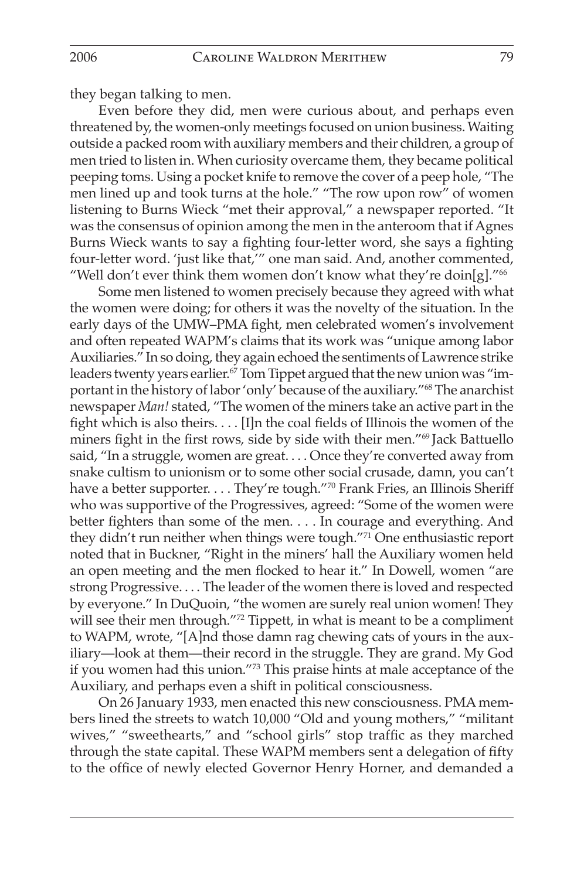they began talking to men.

Even before they did, men were curious about, and perhaps even threatened by, the women-only meetings focused on union business. Waiting outside a packed room with auxiliary members and their children, a group of men tried to listen in. When curiosity overcame them, they became political peeping toms. Using a pocket knife to remove the cover of a peep hole, "The men lined up and took turns at the hole." "The row upon row" of women listening to Burns Wieck "met their approval," a newspaper reported. "It was the consensus of opinion among the men in the anteroom that if Agnes Burns Wieck wants to say a fighting four-letter word, she says a fighting four-letter word. 'just like that,'" one man said. And, another commented, "Well don't ever think them women don't know what they're doin[g]."66

Some men listened to women precisely because they agreed with what the women were doing; for others it was the novelty of the situation. In the early days of the UMW–PMA fight, men celebrated women's involvement and often repeated WAPM's claims that its work was "unique among labor Auxiliaries." In so doing, they again echoed the sentiments of Lawrence strike leaders twenty years earlier.<sup>67</sup> Tom Tippet argued that the new union was "important in the history of labor 'only' because of the auxiliary."68 The anarchist newspaper *Man!* stated, "The women of the miners take an active part in the fight which is also theirs. . . . [I]n the coal fields of Illinois the women of the miners fight in the first rows, side by side with their men."69 Jack Battuello said, "In a struggle, women are great.... Once they're converted away from snake cultism to unionism or to some other social crusade, damn, you can't have a better supporter.... They're tough."<sup>70</sup> Frank Fries, an Illinois Sheriff who was supportive of the Progressives, agreed: "Some of the women were better fighters than some of the men. . . . In courage and everything. And they didn't run neither when things were tough."71 One enthusiastic report noted that in Buckner, "Right in the miners' hall the Auxiliary women held an open meeting and the men flocked to hear it." In Dowell, women "are strong Progressive. . . . The leader of the women there is loved and respected by everyone." In DuQuoin, "the women are surely real union women! They will see their men through."<sup>72</sup> Tippett, in what is meant to be a compliment to WAPM, wrote, "[A]nd those damn rag chewing cats of yours in the auxiliary—look at them—their record in the struggle. They are grand. My God if you women had this union."73 This praise hints at male acceptance of the Auxiliary, and perhaps even a shift in political consciousness.

On 26 January 1933, men enacted this new consciousness. PMA members lined the streets to watch 10,000 "Old and young mothers," "militant wives," "sweethearts," and "school girls" stop traffic as they marched through the state capital. These WAPM members sent a delegation of fifty to the office of newly elected Governor Henry Horner, and demanded a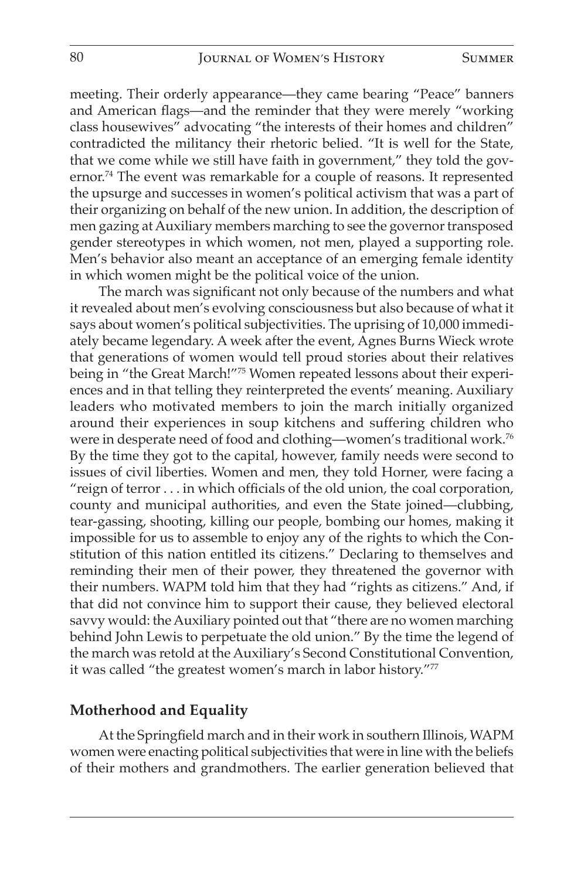meeting. Their orderly appearance—they came bearing "Peace" banners and American flags—and the reminder that they were merely "working class housewives" advocating "the interests of their homes and children" contradicted the militancy their rhetoric belied. "It is well for the State, that we come while we still have faith in government," they told the governor.74 The event was remarkable for a couple of reasons. It represented the upsurge and successes in women's political activism that was a part of their organizing on behalf of the new union. In addition, the description of men gazing at Auxiliary members marching to see the governor transposed gender stereotypes in which women, not men, played a supporting role. Men's behavior also meant an acceptance of an emerging female identity in which women might be the political voice of the union.

The march was significant not only because of the numbers and what it revealed about men's evolving consciousness but also because of what it says about women's political subjectivities. The uprising of 10,000 immediately became legendary. A week after the event, Agnes Burns Wieck wrote that generations of women would tell proud stories about their relatives being in "the Great March!"75 Women repeated lessons about their experiences and in that telling they reinterpreted the events' meaning. Auxiliary leaders who motivated members to join the march initially organized around their experiences in soup kitchens and suffering children who were in desperate need of food and clothing—women's traditional work.76 By the time they got to the capital, however, family needs were second to issues of civil liberties. Women and men, they told Horner, were facing a "reign of terror . . . in which officials of the old union, the coal corporation, county and municipal authorities, and even the State joined—clubbing, tear-gassing, shooting, killing our people, bombing our homes, making it impossible for us to assemble to enjoy any of the rights to which the Constitution of this nation entitled its citizens." Declaring to themselves and reminding their men of their power, they threatened the governor with their numbers. WAPM told him that they had "rights as citizens." And, if that did not convince him to support their cause, they believed electoral savvy would: the Auxiliary pointed out that "there are no women marching behind John Lewis to perpetuate the old union." By the time the legend of the march was retold at the Auxiliary's Second Constitutional Convention, it was called "the greatest women's march in labor history."<sup>77</sup>

#### **Motherhood and Equality**

At the Springfield march and in their work in southern Illinois, WAPM women were enacting political subjectivities that were in line with the beliefs of their mothers and grandmothers. The earlier generation believed that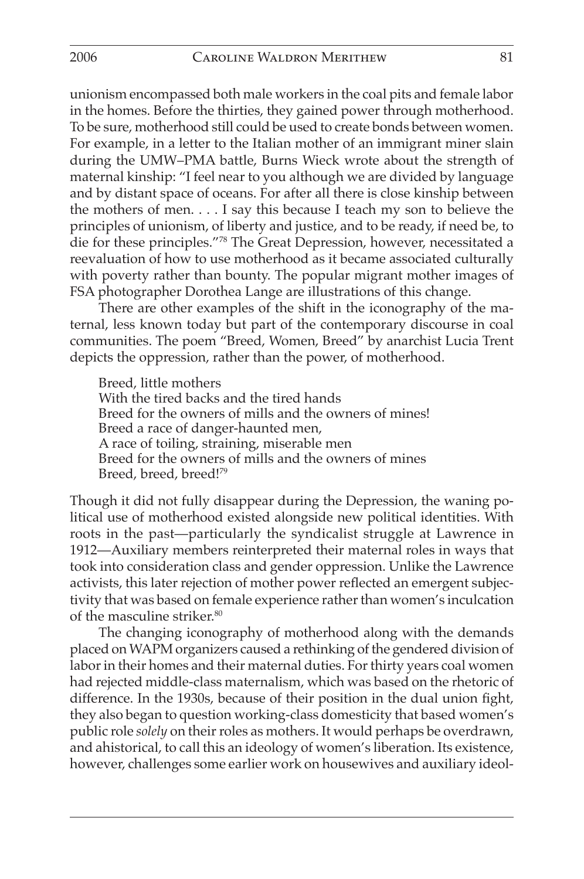unionism encompassed both male workers in the coal pits and female labor in the homes. Before the thirties, they gained power through motherhood. To be sure, motherhood still could be used to create bonds between women. For example, in a letter to the Italian mother of an immigrant miner slain during the UMW–PMA battle, Burns Wieck wrote about the strength of maternal kinship: "I feel near to you although we are divided by language and by distant space of oceans. For after all there is close kinship between the mothers of men. . . . I say this because I teach my son to believe the principles of unionism, of liberty and justice, and to be ready, if need be, to die for these principles."78 The Great Depression, however, necessitated a reevaluation of how to use motherhood as it became associated culturally with poverty rather than bounty. The popular migrant mother images of FSA photographer Dorothea Lange are illustrations of this change.

There are other examples of the shift in the iconography of the maternal, less known today but part of the contemporary discourse in coal communities. The poem "Breed, Women, Breed" by anarchist Lucia Trent depicts the oppression, rather than the power, of motherhood.

Breed, little mothers With the tired backs and the tired hands Breed for the owners of mills and the owners of mines! Breed a race of danger-haunted men, A race of toiling, straining, miserable men Breed for the owners of mills and the owners of mines Breed, breed, breed!79

Though it did not fully disappear during the Depression, the waning political use of motherhood existed alongside new political identities. With roots in the past—particularly the syndicalist struggle at Lawrence in 1912—Auxiliary members reinterpreted their maternal roles in ways that took into consideration class and gender oppression. Unlike the Lawrence activists, this later rejection of mother power reflected an emergent subjectivity that was based on female experience rather than women's inculcation of the masculine striker.<sup>80</sup>

The changing iconography of motherhood along with the demands placed on WAPM organizers caused a rethinking of the gendered division of labor in their homes and their maternal duties. For thirty years coal women had rejected middle-class maternalism, which was based on the rhetoric of difference. In the 1930s, because of their position in the dual union fight, they also began to question working-class domesticity that based women's public role *solely* on their roles as mothers. It would perhaps be overdrawn, and ahistorical, to call this an ideology of women's liberation. Its existence, however, challenges some earlier work on housewives and auxiliary ideol-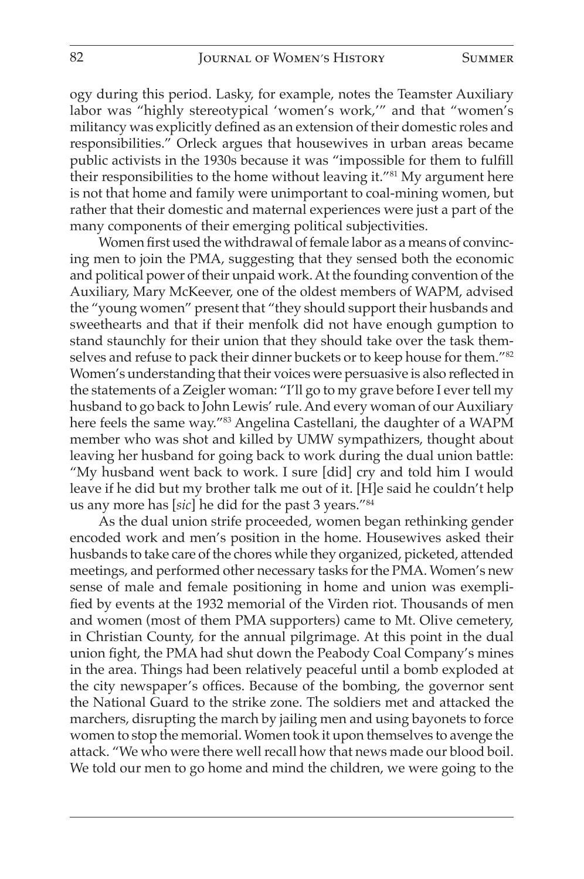ogy during this period. Lasky, for example, notes the Teamster Auxiliary labor was "highly stereotypical 'women's work,'" and that "women's militancy was explicitly defined as an extension of their domestic roles and responsibilities." Orleck argues that housewives in urban areas became public activists in the 1930s because it was "impossible for them to fulfill their responsibilities to the home without leaving it."81 My argument here is not that home and family were unimportant to coal-mining women, but rather that their domestic and maternal experiences were just a part of the many components of their emerging political subjectivities.

Women first used the withdrawal of female labor as a means of convincing men to join the PMA, suggesting that they sensed both the economic and political power of their unpaid work. At the founding convention of the Auxiliary, Mary McKeever, one of the oldest members of WAPM, advised the "young women" present that "they should support their husbands and sweethearts and that if their menfolk did not have enough gumption to stand staunchly for their union that they should take over the task themselves and refuse to pack their dinner buckets or to keep house for them."<sup>82</sup> Women's understanding that their voices were persuasive is also reflected in the statements of a Zeigler woman: "I'll go to my grave before I ever tell my husband to go back to John Lewis' rule. And every woman of our Auxiliary here feels the same way."<sup>83</sup> Angelina Castellani, the daughter of a WAPM member who was shot and killed by UMW sympathizers, thought about leaving her husband for going back to work during the dual union battle: "My husband went back to work. I sure [did] cry and told him I would leave if he did but my brother talk me out of it. [H]e said he couldn't help us any more has [*sic*] he did for the past 3 years."84

As the dual union strife proceeded, women began rethinking gender encoded work and men's position in the home. Housewives asked their husbands to take care of the chores while they organized, picketed, attended meetings, and performed other necessary tasks for the PMA. Women's new sense of male and female positioning in home and union was exemplified by events at the 1932 memorial of the Virden riot. Thousands of men and women (most of them PMA supporters) came to Mt. Olive cemetery, in Christian County, for the annual pilgrimage. At this point in the dual union fight, the PMA had shut down the Peabody Coal Company's mines in the area. Things had been relatively peaceful until a bomb exploded at the city newspaper's offices. Because of the bombing, the governor sent the National Guard to the strike zone. The soldiers met and attacked the marchers, disrupting the march by jailing men and using bayonets to force women to stop the memorial. Women took it upon themselves to avenge the attack. "We who were there well recall how that news made our blood boil. We told our men to go home and mind the children, we were going to the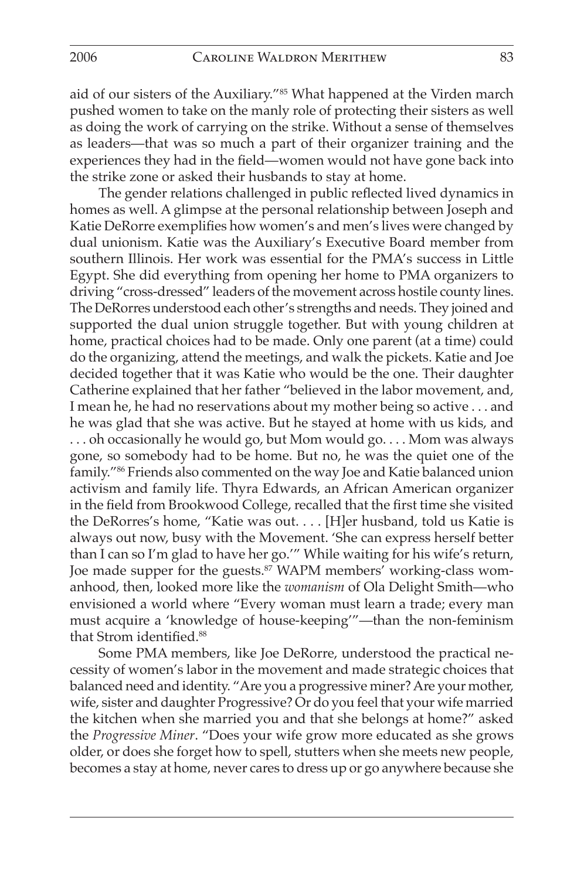aid of our sisters of the Auxiliary."85 What happened at the Virden march pushed women to take on the manly role of protecting their sisters as well as doing the work of carrying on the strike. Without a sense of themselves as leaders—that was so much a part of their organizer training and the experiences they had in the field—women would not have gone back into the strike zone or asked their husbands to stay at home.

The gender relations challenged in public reflected lived dynamics in homes as well. A glimpse at the personal relationship between Joseph and Katie DeRorre exemplifies how women's and men's lives were changed by dual unionism. Katie was the Auxiliary's Executive Board member from southern Illinois. Her work was essential for the PMA's success in Little Egypt. She did everything from opening her home to PMA organizers to driving "cross-dressed" leaders of the movement across hostile county lines. The DeRorres understood each other's strengths and needs. They joined and supported the dual union struggle together. But with young children at home, practical choices had to be made. Only one parent (at a time) could do the organizing, attend the meetings, and walk the pickets. Katie and Joe decided together that it was Katie who would be the one. Their daughter Catherine explained that her father "believed in the labor movement, and, I mean he, he had no reservations about my mother being so active . . . and he was glad that she was active. But he stayed at home with us kids, and . . . oh occasionally he would go, but Mom would go. . . . Mom was always gone, so somebody had to be home. But no, he was the quiet one of the family."86 Friends also commented on the way Joe and Katie balanced union activism and family life. Thyra Edwards, an African American organizer in the field from Brookwood College, recalled that the first time she visited the DeRorres's home, "Katie was out. . . . [H]er husband, told us Katie is always out now, busy with the Movement. 'She can express herself better than I can so I'm glad to have her go.'" While waiting for his wife's return, Joe made supper for the guests.<sup>87</sup> WAPM members' working-class womanhood, then, looked more like the *womanism* of Ola Delight Smith—who envisioned a world where "Every woman must learn a trade; every man must acquire a 'knowledge of house-keeping'"—than the non-feminism that Strom identified.<sup>88</sup>

Some PMA members, like Joe DeRorre, understood the practical necessity of women's labor in the movement and made strategic choices that balanced need and identity. "Are you a progressive miner? Are your mother, wife, sister and daughter Progressive? Or do you feel that your wife married the kitchen when she married you and that she belongs at home?" asked the *Progressive Miner*. "Does your wife grow more educated as she grows older, or does she forget how to spell, stutters when she meets new people, becomes a stay at home, never cares to dress up or go anywhere because she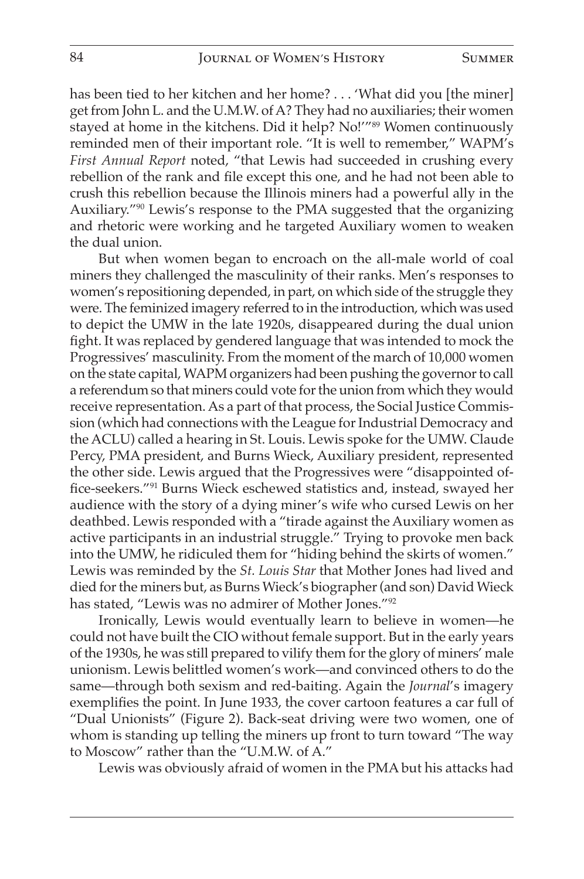has been tied to her kitchen and her home? . . . 'What did you [the miner] get from John L. and the U.M.W. of A? They had no auxiliaries; their women stayed at home in the kitchens. Did it help? No!'"89 Women continuously reminded men of their important role. "It is well to remember," WAPM's *First Annual Report* noted, "that Lewis had succeeded in crushing every rebellion of the rank and file except this one, and he had not been able to crush this rebellion because the Illinois miners had a powerful ally in the Auxiliary."90 Lewis's response to the PMA suggested that the organizing and rhetoric were working and he targeted Auxiliary women to weaken the dual union.

But when women began to encroach on the all-male world of coal miners they challenged the masculinity of their ranks. Men's responses to women's repositioning depended, in part, on which side of the struggle they were. The feminized imagery referred to in the introduction, which was used to depict the UMW in the late 1920s, disappeared during the dual union fight. It was replaced by gendered language that was intended to mock the Progressives' masculinity. From the moment of the march of 10,000 women on the state capital, WAPM organizers had been pushing the governor to call a referendum so that miners could vote for the union from which they would receive representation. As a part of that process, the Social Justice Commission (which had connections with the League for Industrial Democracy and the ACLU) called a hearing in St. Louis. Lewis spoke for the UMW. Claude Percy, PMA president, and Burns Wieck, Auxiliary president, represented the other side. Lewis argued that the Progressives were "disappointed office-seekers."91 Burns Wieck eschewed statistics and, instead, swayed her audience with the story of a dying miner's wife who cursed Lewis on her deathbed. Lewis responded with a "tirade against the Auxiliary women as active participants in an industrial struggle." Trying to provoke men back into the UMW, he ridiculed them for "hiding behind the skirts of women." Lewis was reminded by the *St. Louis Star* that Mother Jones had lived and died for the miners but, as Burns Wieck's biographer (and son) David Wieck has stated, "Lewis was no admirer of Mother Jones."92

Ironically, Lewis would eventually learn to believe in women—he could not have built the CIO without female support. But in the early years of the 1930s, he was still prepared to vilify them for the glory of miners' male unionism. Lewis belittled women's work—and convinced others to do the same—through both sexism and red-baiting. Again the *Journal*'s imagery exemplifies the point. In June 1933, the cover cartoon features a car full of "Dual Unionists" (Figure 2). Back-seat driving were two women, one of whom is standing up telling the miners up front to turn toward "The way to Moscow" rather than the "U.M.W. of A."

Lewis was obviously afraid of women in the PMA but his attacks had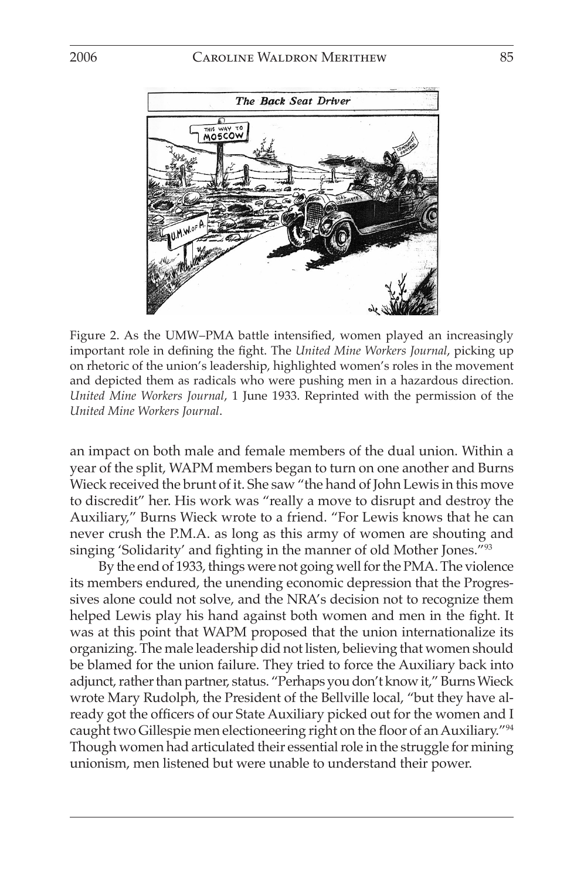

Figure 2. As the UMW–PMA battle intensified, women played an increasingly important role in defining the fight. The *United Mine Workers Journal*, picking up on rhetoric of the union's leadership, highlighted women's roles in the movement and depicted them as radicals who were pushing men in a hazardous direction. *United Mine Workers Journal*, 1 June 1933. Reprinted with the permission of the *United Mine Workers Journal*.

an impact on both male and female members of the dual union. Within a year of the split, WAPM members began to turn on one another and Burns Wieck received the brunt of it. She saw "the hand of John Lewis in this move to discredit" her. His work was "really a move to disrupt and destroy the Auxiliary," Burns Wieck wrote to a friend. "For Lewis knows that he can never crush the P.M.A. as long as this army of women are shouting and singing 'Solidarity' and fighting in the manner of old Mother Jones."<sup>93</sup>

By the end of 1933, things were not going well for the PMA. The violence its members endured, the unending economic depression that the Progressives alone could not solve, and the NRA's decision not to recognize them helped Lewis play his hand against both women and men in the fight. It was at this point that WAPM proposed that the union internationalize its organizing. The male leadership did not listen, believing that women should be blamed for the union failure. They tried to force the Auxiliary back into adjunct, rather than partner, status. "Perhaps you don't know it," Burns Wieck wrote Mary Rudolph, the President of the Bellville local, "but they have already got the officers of our State Auxiliary picked out for the women and I caught two Gillespie men electioneering right on the floor of an Auxiliary."<sup>94</sup> Though women had articulated their essential role in the struggle for mining unionism, men listened but were unable to understand their power.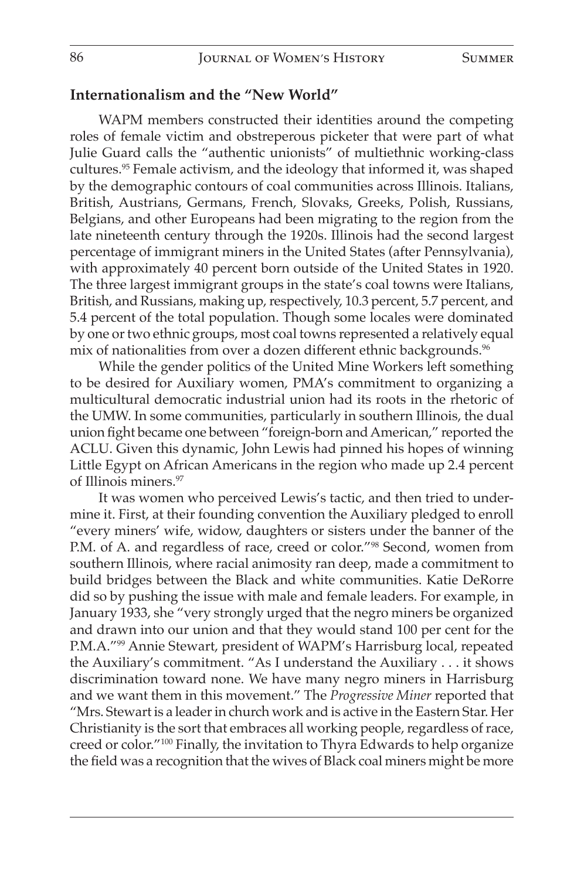#### **Internationalism and the "New World"**

WAPM members constructed their identities around the competing roles of female victim and obstreperous picketer that were part of what Julie Guard calls the "authentic unionists" of multiethnic working-class cultures.95 Female activism, and the ideology that informed it, was shaped by the demographic contours of coal communities across Illinois. Italians, British, Austrians, Germans, French, Slovaks, Greeks, Polish, Russians, Belgians, and other Europeans had been migrating to the region from the late nineteenth century through the 1920s. Illinois had the second largest percentage of immigrant miners in the United States (after Pennsylvania), with approximately 40 percent born outside of the United States in 1920. The three largest immigrant groups in the state's coal towns were Italians, British, and Russians, making up, respectively, 10.3 percent, 5.7 percent, and 5.4 percent of the total population. Though some locales were dominated by one or two ethnic groups, most coal towns represented a relatively equal mix of nationalities from over a dozen different ethnic backgrounds.<sup>96</sup>

While the gender politics of the United Mine Workers left something to be desired for Auxiliary women, PMA's commitment to organizing a multicultural democratic industrial union had its roots in the rhetoric of the UMW. In some communities, particularly in southern Illinois, the dual union fight became one between "foreign-born and American," reported the ACLU. Given this dynamic, John Lewis had pinned his hopes of winning Little Egypt on African Americans in the region who made up 2.4 percent of Illinois miners.97

It was women who perceived Lewis's tactic, and then tried to undermine it. First, at their founding convention the Auxiliary pledged to enroll "every miners' wife, widow, daughters or sisters under the banner of the P.M. of A. and regardless of race, creed or color."<sup>98</sup> Second, women from southern Illinois, where racial animosity ran deep, made a commitment to build bridges between the Black and white communities. Katie DeRorre did so by pushing the issue with male and female leaders. For example, in January 1933, she "very strongly urged that the negro miners be organized and drawn into our union and that they would stand 100 per cent for the P.M.A."99 Annie Stewart, president of WAPM's Harrisburg local, repeated the Auxiliary's commitment. "As I understand the Auxiliary . . . it shows discrimination toward none. We have many negro miners in Harrisburg and we want them in this movement." The *Progressive Miner* reported that "Mrs. Stewart is a leader in church work and is active in the Eastern Star. Her Christianity is the sort that embraces all working people, regardless of race, creed or color."100 Finally, the invitation to Thyra Edwards to help organize the field was a recognition that the wives of Black coal miners might be more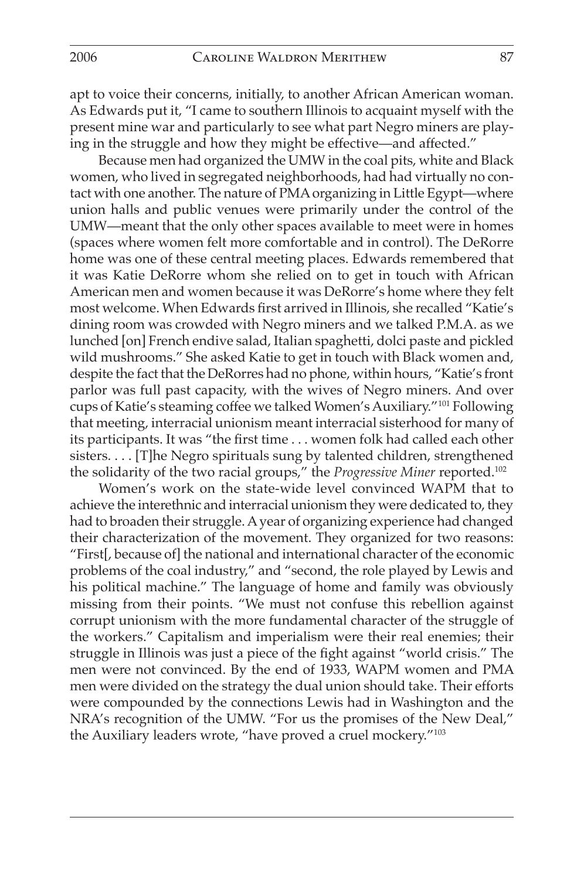apt to voice their concerns, initially, to another African American woman. As Edwards put it, "I came to southern Illinois to acquaint myself with the present mine war and particularly to see what part Negro miners are playing in the struggle and how they might be effective—and affected."

Because men had organized the UMW in the coal pits, white and Black women, who lived in segregated neighborhoods, had had virtually no contact with one another. The nature of PMA organizing in Little Egypt—where union halls and public venues were primarily under the control of the UMW—meant that the only other spaces available to meet were in homes (spaces where women felt more comfortable and in control). The DeRorre home was one of these central meeting places. Edwards remembered that it was Katie DeRorre whom she relied on to get in touch with African American men and women because it was DeRorre's home where they felt most welcome. When Edwards first arrived in Illinois, she recalled "Katie's dining room was crowded with Negro miners and we talked P.M.A. as we lunched [on] French endive salad, Italian spaghetti, dolci paste and pickled wild mushrooms." She asked Katie to get in touch with Black women and, despite the fact that the DeRorres had no phone, within hours, "Katie's front parlor was full past capacity, with the wives of Negro miners. And over cups of Katie's steaming coffee we talked Women's Auxiliary."101 Following that meeting, interracial unionism meant interracial sisterhood for many of its participants. It was "the first time . . . women folk had called each other sisters. . . . [T]he Negro spirituals sung by talented children, strengthened the solidarity of the two racial groups," the *Progressive Miner* reported.102

Women's work on the state-wide level convinced WAPM that to achieve the interethnic and interracial unionism they were dedicated to, they had to broaden their struggle. A year of organizing experience had changed their characterization of the movement. They organized for two reasons: "First[, because of] the national and international character of the economic problems of the coal industry," and "second, the role played by Lewis and his political machine." The language of home and family was obviously missing from their points. "We must not confuse this rebellion against corrupt unionism with the more fundamental character of the struggle of the workers." Capitalism and imperialism were their real enemies; their struggle in Illinois was just a piece of the fight against "world crisis." The men were not convinced. By the end of 1933, WAPM women and PMA men were divided on the strategy the dual union should take. Their efforts were compounded by the connections Lewis had in Washington and the NRA's recognition of the UMW. "For us the promises of the New Deal," the Auxiliary leaders wrote, "have proved a cruel mockery."103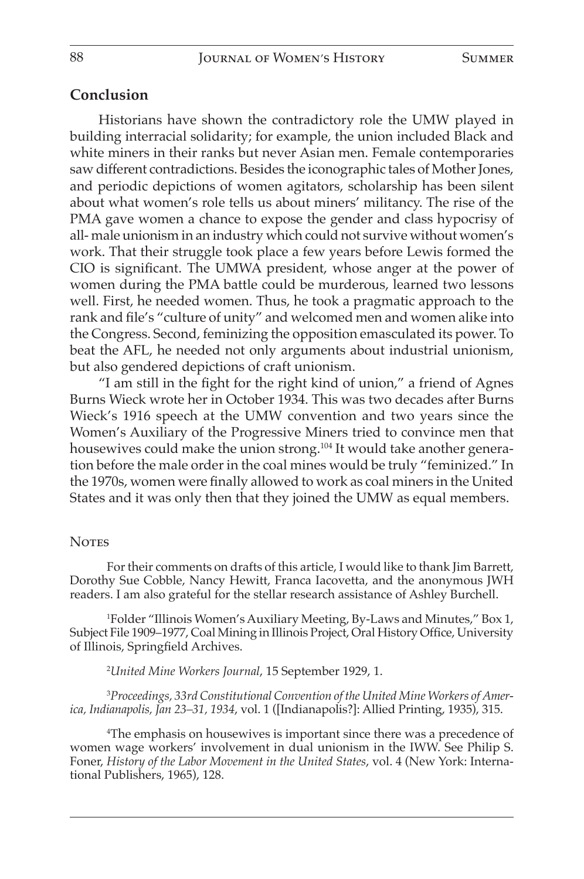#### **Conclusion**

Historians have shown the contradictory role the UMW played in building interracial solidarity; for example, the union included Black and white miners in their ranks but never Asian men. Female contemporaries saw different contradictions. Besides the iconographic tales of Mother Jones, and periodic depictions of women agitators, scholarship has been silent about what women's role tells us about miners' militancy. The rise of the PMA gave women a chance to expose the gender and class hypocrisy of all- male unionism in an industry which could not survive without women's work. That their struggle took place a few years before Lewis formed the CIO is significant. The UMWA president, whose anger at the power of women during the PMA battle could be murderous, learned two lessons well. First, he needed women. Thus, he took a pragmatic approach to the rank and file's "culture of unity" and welcomed men and women alike into the Congress. Second, feminizing the opposition emasculated its power. To beat the AFL, he needed not only arguments about industrial unionism, but also gendered depictions of craft unionism.

"I am still in the fight for the right kind of union," a friend of Agnes Burns Wieck wrote her in October 1934. This was two decades after Burns Wieck's 1916 speech at the UMW convention and two years since the Women's Auxiliary of the Progressive Miners tried to convince men that housewives could make the union strong.<sup>104</sup> It would take another generation before the male order in the coal mines would be truly "feminized." In the 1970s, women were finally allowed to work as coal miners in the United States and it was only then that they joined the UMW as equal members.

#### **NOTES**

For their comments on drafts of this article, I would like to thank Jim Barrett, Dorothy Sue Cobble, Nancy Hewitt, Franca Iacovetta, and the anonymous JWH readers. I am also grateful for the stellar research assistance of Ashley Burchell.

1 Folder "Illinois Women's Auxiliary Meeting, By-Laws and Minutes," Box 1, Subject File 1909–1977, Coal Mining in Illinois Project, Oral History Office, University of Illinois, Springfield Archives.

2 *United Mine Workers Journal*, 15 September 1929, 1.

3 *Proceedings, 33rd Constitutional Convention of the United Mine Workers of America, Indianapolis, Jan 23–31, 1934*, vol. 1 ([Indianapolis?]: Allied Printing, 1935), 315.

4 The emphasis on housewives is important since there was a precedence of women wage workers' involvement in dual unionism in the IWW. See Philip S. Foner, *History of the Labor Movement in the United States*, vol. 4 (New York: International Publishers, 1965), 128.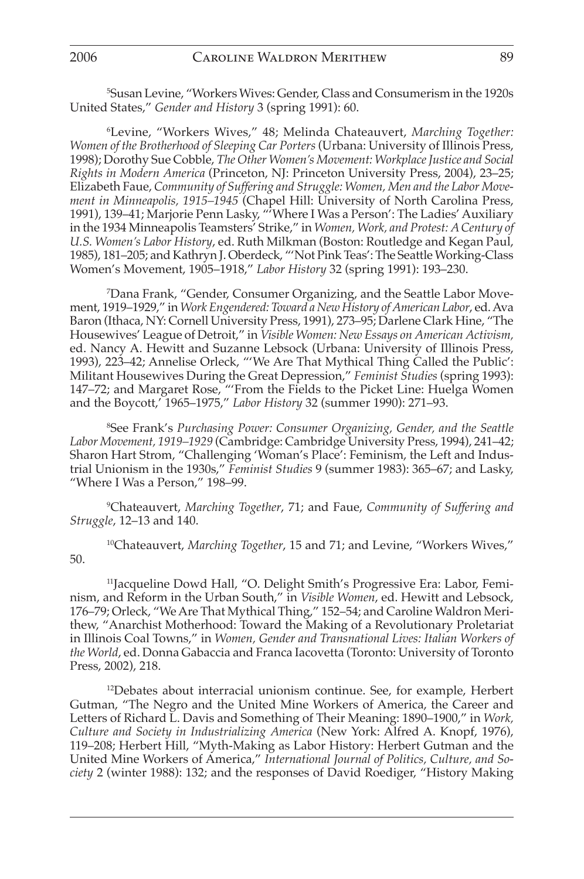5 Susan Levine, "Workers Wives: Gender, Class and Consumerism in the 1920s United States," *Gender and History* 3 (spring 1991): 60.

6 Levine, "Workers Wives," 48; Melinda Chateauvert, *Marching Together: Women of the Brotherhood of Sleeping Car Porters* (Urbana: University of Illinois Press, 1998); Dorothy Sue Cobble, *The Other Women's Movement: Workplace Justice and Social Rights in Modern America* (Princeton, NJ: Princeton University Press, 2004), 23–25; Elizabeth Faue, *Community of Suffering and Struggle: Women, Men and the Labor Movement in Minneapolis, 1915–1945* (Chapel Hill: University of North Carolina Press, 1991), 139–41; Marjorie Penn Lasky, "'Where I Was a Person': The Ladies' Auxiliary in the 1934 Minneapolis Teamsters' Strike," in *Women, Work, and Protest: A Century of U.S. Women's Labor History*, ed. Ruth Milkman (Boston: Routledge and Kegan Paul, 1985), 181–205; and Kathryn J. Oberdeck, "'Not Pink Teas': The Seattle Working-Class Women's Movement, 1905–1918," *Labor History* 32 (spring 1991): 193–230.

7 Dana Frank, "Gender, Consumer Organizing, and the Seattle Labor Movement, 1919–1929," in *Work Engendered: Toward a New History of American Labor*, ed. Ava Baron (Ithaca, NY: Cornell University Press, 1991), 273–95; Darlene Clark Hine, "The Housewives' League of Detroit," in *Visible Women: New Essays on American Activism,* ed. Nancy A. Hewitt and Suzanne Lebsock (Urbana: University of Illinois Press, 1993), 223–42; Annelise Orleck, "'We Are That Mythical Thing Called the Public': Militant Housewives During the Great Depression," *Feminist Studies* (spring 1993): 147–72; and Margaret Rose, "'From the Fields to the Picket Line: Huelga Women and the Boycott,' 1965–1975," *Labor History* 32 (summer 1990): 271–93.

8 See Frank's *Purchasing Power: Consumer Organizing, Gender, and the Seattle Labor Movement, 1919–1929* (Cambridge: Cambridge University Press, 1994), 241–42; Sharon Hart Strom, "Challenging 'Woman's Place': Feminism, the Left and Industrial Unionism in the 1930s," *Feminist Studies* 9 (summer 1983): 365–67; and Lasky, "Where I Was a Person," 198–99.

9 Chateauvert, *Marching Together*, 71; and Faue, *Community of Suffering and Struggle*, 12–13 and 140.

10Chateauvert, *Marching Together*, 15 and 71; and Levine, "Workers Wives," 50.

11Jacqueline Dowd Hall, "O. Delight Smith's Progressive Era: Labor, Feminism, and Reform in the Urban South," in *Visible Women*, ed. Hewitt and Lebsock, 176–79; Orleck, "We Are That Mythical Thing," 152–54; and Caroline Waldron Merithew, "Anarchist Motherhood: Toward the Making of a Revolutionary Proletariat in Illinois Coal Towns," in *Women, Gender and Transnational Lives: Italian Workers of the World*, ed. Donna Gabaccia and Franca Iacovetta (Toronto: University of Toronto Press, 2002), 218.

<sup>12</sup>Debates about interracial unionism continue. See, for example, Herbert Gutman, "The Negro and the United Mine Workers of America, the Career and Letters of Richard L. Davis and Something of Their Meaning: 1890–1900," in *Work, Culture and Society in Industrializing America* (New York: Alfred A. Knopf, 1976), 119–208; Herbert Hill, "Myth-Making as Labor History: Herbert Gutman and the United Mine Workers of America," *International Journal of Politics, Culture, and Society* 2 (winter 1988): 132; and the responses of David Roediger, "History Making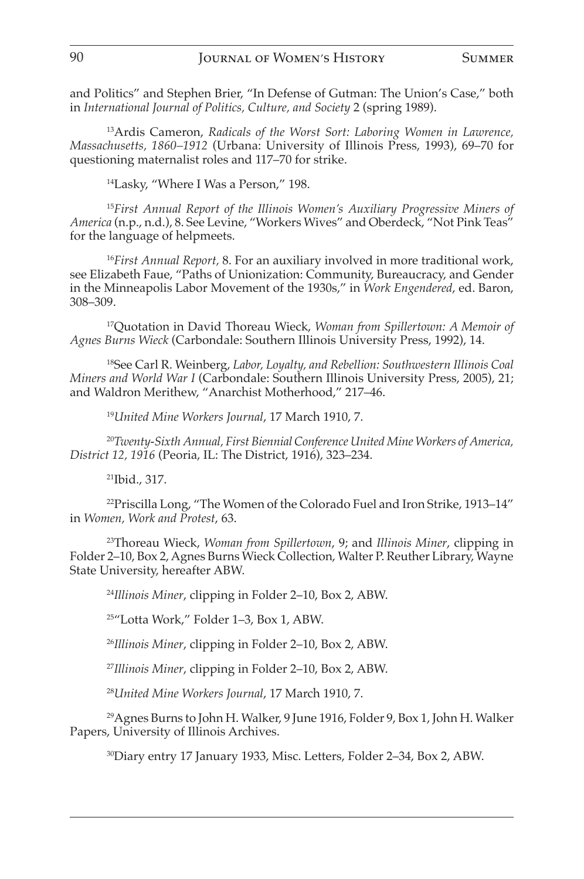and Politics" and Stephen Brier, "In Defense of Gutman: The Union's Case," both in *International Journal of Politics, Culture, and Society* 2 (spring 1989).

13Ardis Cameron, *Radicals of the Worst Sort: Laboring Women in Lawrence, Massachusetts, 1860–1912* (Urbana: University of Illinois Press, 1993), 69–70 for questioning maternalist roles and 117–70 for strike.

14Lasky, "Where I Was a Person," 198.

<sup>15</sup>*First Annual Report of the Illinois Women's Auxiliary Progressive Miners of America* (n.p., n.d.), 8. See Levine, "Workers Wives" and Oberdeck, "Not Pink Teas" for the language of helpmeets.

<sup>16</sup>*First Annual Report,* 8. For an auxiliary involved in more traditional work, see Elizabeth Faue, "Paths of Unionization: Community, Bureaucracy, and Gender in the Minneapolis Labor Movement of the 1930s," in *Work Engendered*, ed. Baron, 308–309.

17Quotation in David Thoreau Wieck, *Woman from Spillertown: A Memoir of Agnes Burns Wieck* (Carbondale: Southern Illinois University Press, 1992), 14.

18See Carl R. Weinberg, *Labor, Loyalty, and Rebellion: Southwestern Illinois Coal Miners and World War I* (Carbondale: Southern Illinois University Press, 2005), 21; and Waldron Merithew, "Anarchist Motherhood," 217–46.

<sup>19</sup>*United Mine Workers Journal*, 17 March 1910, 7.

<sup>20</sup>*Twenty-Sixth Annual, First Biennial Conference United Mine Workers of America, District 12, 1916* (Peoria, IL: The District, 1916), 323–234.

21Ibid., 317.

<sup>22</sup>Priscilla Long, "The Women of the Colorado Fuel and Iron Strike, 1913–14" in *Women, Work and Protest*, 63.

23Thoreau Wieck, *Woman from Spillertown*, 9; and *Illinois Miner*, clipping in Folder 2–10, Box 2, Agnes Burns Wieck Collection, Walter P. Reuther Library, Wayne State University, hereafter ABW.

<sup>24</sup>*Illinois Miner*, clipping in Folder 2–10, Box 2, ABW.

25"Lotta Work," Folder 1–3, Box 1, ABW.

<sup>26</sup>*Illinois Miner*, clipping in Folder 2–10, Box 2, ABW.

<sup>27</sup>*Illinois Miner*, clipping in Folder 2–10, Box 2, ABW.

<sup>28</sup>*United Mine Workers Journal*, 17 March 1910, 7.

29Agnes Burns to John H. Walker, 9 June 1916, Folder 9, Box 1, John H. Walker Papers, University of Illinois Archives.

30Diary entry 17 January 1933, Misc. Letters, Folder 2–34, Box 2, ABW.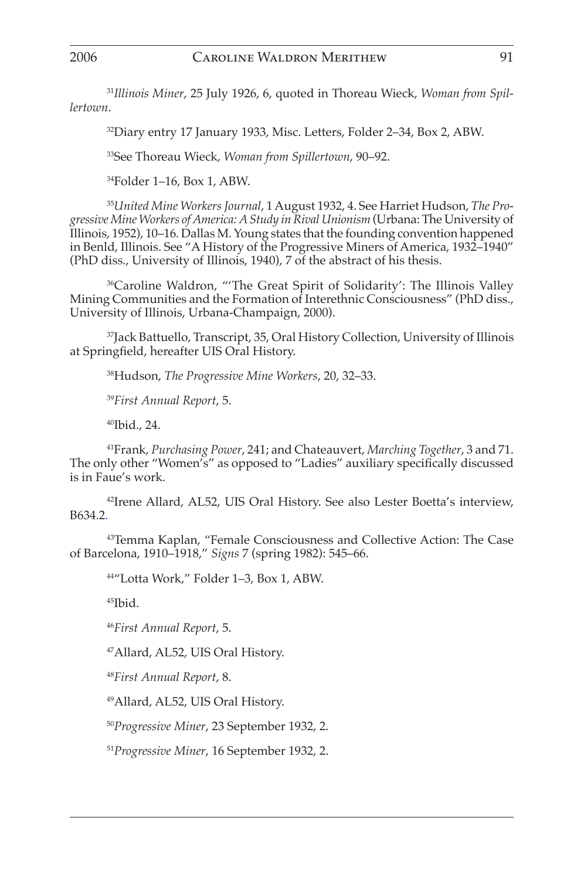31*Illinois Miner*, 25 July 1926, 6, quoted in Thoreau Wieck, *Woman from Spillertown*.

32Diary entry 17 January 1933, Misc. Letters, Folder 2–34, Box 2, ABW.

33See Thoreau Wieck, *Woman from Spillertown*, 90–92.

34Folder 1–16, Box 1, ABW.

35*United Mine Workers Journal*, 1 August 1932, 4. See Harriet Hudson, *The Progressive Mine Workers of America: A Study in Rival Unionism* (Urbana: The University of Illinois, 1952), 10–16. Dallas M. Young states that the founding convention happened in Benld, Illinois. See "A History of the Progressive Miners of America, 1932–1940" (PhD diss., University of Illinois, 1940), 7 of the abstract of his thesis.

36Caroline Waldron, "'The Great Spirit of Solidarity': The Illinois Valley Mining Communities and the Formation of Interethnic Consciousness" (PhD diss., University of Illinois, Urbana-Champaign, 2000).

37Jack Battuello, Transcript, 35, Oral History Collection, University of Illinois at Springfield, hereafter UIS Oral History.

38Hudson, *The Progressive Mine Workers*, 20, 32–33.

<sup>39</sup>*First Annual Report*, 5.

40Ibid., 24.

41Frank, *Purchasing Power*, 241; and Chateauvert, *Marching Together*, 3 and 71. The only other "Women's" as opposed to "Ladies" auxiliary specifically discussed is in Faue's work.

42Irene Allard, AL52, UIS Oral History. See also Lester Boetta's interview, B634.2.

43Temma Kaplan, "Female Consciousness and Collective Action: The Case of Barcelona, 1910–1918," *Signs* 7 (spring 1982): 545–66.

44"Lotta Work," Folder 1–3, Box 1, ABW.

45Ibid.

<sup>46</sup>*First Annual Report*, 5.

47Allard, AL52, UIS Oral History.

<sup>48</sup>*First Annual Report*, 8.

49Allard, AL52, UIS Oral History.

<sup>50</sup>*Progressive Miner*, 23 September 1932, 2.

51*Progressive Miner*, 16 September 1932, 2.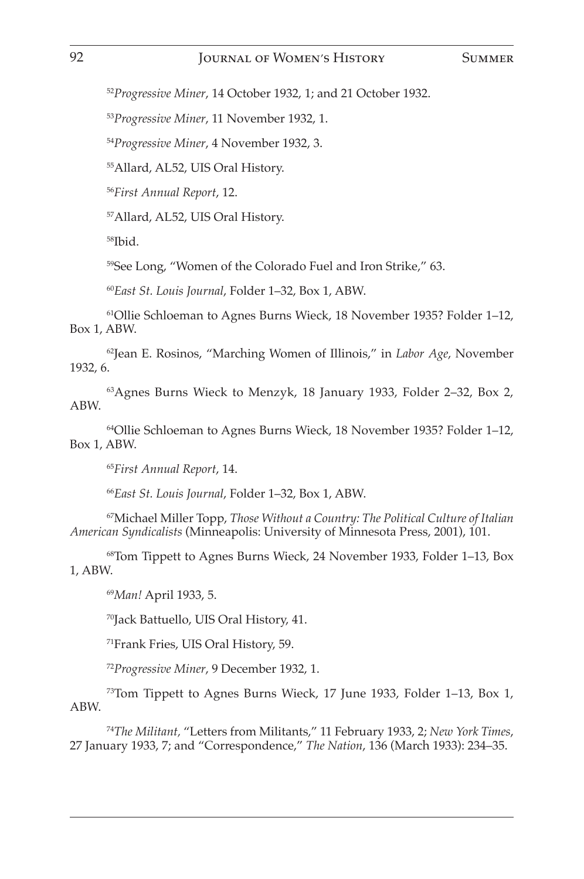#### 92 **JOURNAL OF WOMEN'S HISTORY** SUMMER

<sup>52</sup>*Progressive Miner*, 14 October 1932, 1; and 21 October 1932.

<sup>53</sup>*Progressive Miner*, 11 November 1932, 1.

<sup>54</sup>*Progressive Miner*, 4 November 1932, 3.

55Allard, AL52, UIS Oral History.

<sup>56</sup>*First Annual Report*, 12.

57Allard, AL52, UIS Oral History.

58Ibid.

59See Long, "Women of the Colorado Fuel and Iron Strike," 63.

<sup>60</sup>*East St. Louis Journal*, Folder 1–32, Box 1, ABW.

61Ollie Schloeman to Agnes Burns Wieck, 18 November 1935? Folder 1–12, Box 1, ABW.

62Jean E. Rosinos, "Marching Women of Illinois," in *Labor Age*, November 1932, 6.

63Agnes Burns Wieck to Menzyk, 18 January 1933, Folder 2–32, Box 2, ABW.

64Ollie Schloeman to Agnes Burns Wieck, 18 November 1935? Folder 1–12, Box 1, ABW.

<sup>65</sup>*First Annual Report*, 14.

<sup>66</sup>*East St. Louis Journal*, Folder 1–32, Box 1, ABW.

67Michael Miller Topp, *Those Without a Country: The Political Culture of Italian American Syndicalists* (Minneapolis: University of Minnesota Press, 2001), 101.

68Tom Tippett to Agnes Burns Wieck, 24 November 1933, Folder 1–13, Box 1, ABW.

<sup>69</sup>*Man!* April 1933, 5.

70Jack Battuello, UIS Oral History, 41.

71Frank Fries, UIS Oral History, 59.

<sup>72</sup>*Progressive Miner*, 9 December 1932, 1.

73Tom Tippett to Agnes Burns Wieck, 17 June 1933, Folder 1–13, Box 1, ABW.

<sup>74</sup>*The Militant,* "Letters from Militants," 11 February 1933, 2; *New York Times*, 27 January 1933, 7; and "Correspondence," *The Nation*, 136 (March 1933): 234–35.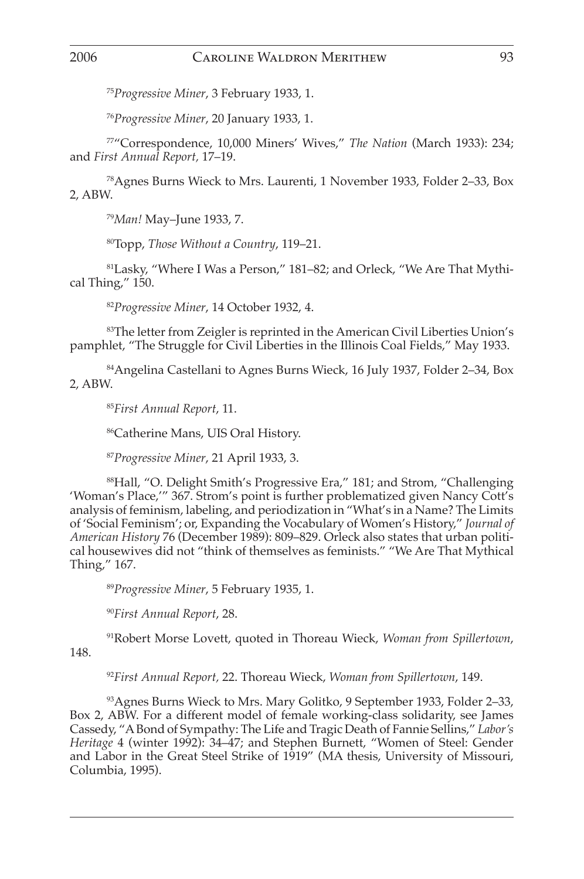<sup>75</sup>*Progressive Miner*, 3 February 1933, 1.

<sup>76</sup>*Progressive Miner*, 20 January 1933, 1.

77"Correspondence, 10,000 Miners' Wives," *The Nation* (March 1933): 234; and *First Annual Report,* 17–19.

78Agnes Burns Wieck to Mrs. Laurenti, 1 November 1933, Folder 2–33, Box 2, ABW.

<sup>79</sup>*Man!* May–June 1933, 7.

80Topp, *Those Without a Country*, 119–21.

81Lasky, "Where I Was a Person," 181–82; and Orleck, "We Are That Mythical Thing," 150.

<sup>82</sup>*Progressive Miner*, 14 October 1932, 4.

83The letter from Zeigler is reprinted in the American Civil Liberties Union's pamphlet, "The Struggle for Civil Liberties in the Illinois Coal Fields," May 1933.

84Angelina Castellani to Agnes Burns Wieck, 16 July 1937, Folder 2–34, Box 2, ABW.

<sup>85</sup>*First Annual Report*, 11.

86Catherine Mans, UIS Oral History.

<sup>87</sup>*Progressive Miner*, 21 April 1933, 3.

88Hall, "O. Delight Smith's Progressive Era," 181; and Strom, "Challenging 'Woman's Place,'" 367. Strom's point is further problematized given Nancy Cott's analysis of feminism, labeling, and periodization in "What's in a Name? The Limits of 'Social Feminism'; or, Expanding the Vocabulary of Women's History," *Journal of American History* 76 (December 1989): 809–829. Orleck also states that urban political housewives did not "think of themselves as feminists." "We Are That Mythical Thing," 167.

<sup>89</sup>*Progressive Miner*, 5 February 1935, 1.

<sup>90</sup>*First Annual Report*, 28.

91Robert Morse Lovett, quoted in Thoreau Wieck, *Woman from Spillertown*, 148.

<sup>92</sup>*First Annual Report,* 22. Thoreau Wieck, *Woman from Spillertown*, 149.

93Agnes Burns Wieck to Mrs. Mary Golitko, 9 September 1933, Folder 2–33, Box 2, ABW. For a different model of female working-class solidarity, see James Cassedy, "A Bond of Sympathy: The Life and Tragic Death of Fannie Sellins," *Labor's Heritage* 4 (winter 1992): 34–47; and Stephen Burnett, "Women of Steel: Gender and Labor in the Great Steel Strike of 1919" (MA thesis, University of Missouri, Columbia, 1995).